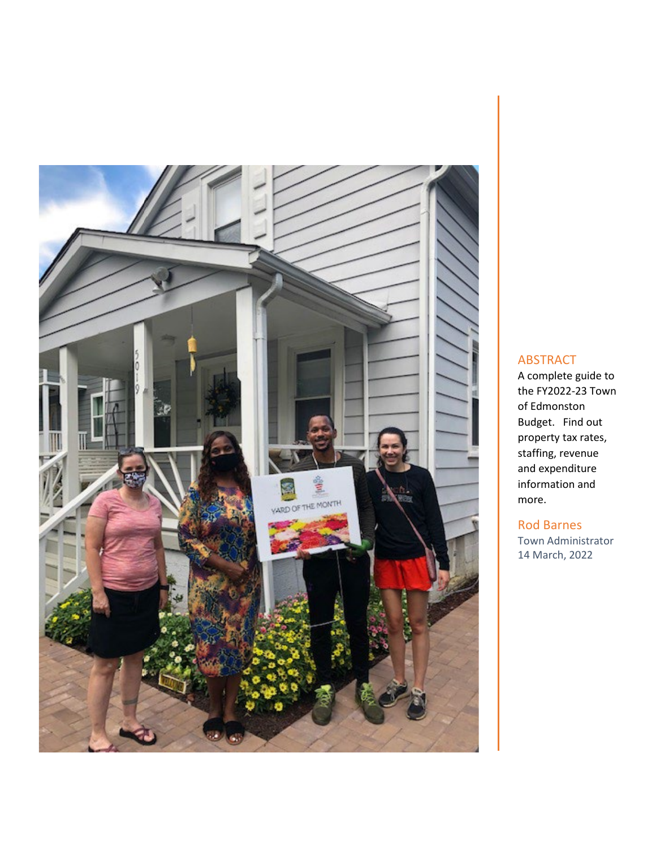

## ABSTRACT

A complete guide to the FY2022-23 Town of Edmonston Budget. Find out property tax rates, staffing, revenue and expenditure information and more.

#### Rod Barnes

Town Administrator 14 March, 2022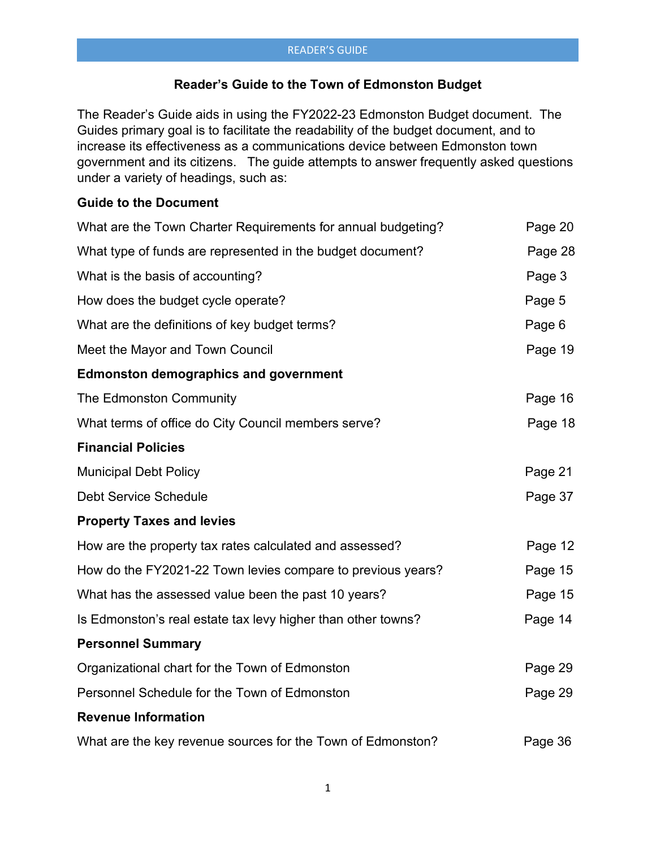## **Reader's Guide to the Town of Edmonston Budget**

The Reader's Guide aids in using the FY2022-23 Edmonston Budget document. The Guides primary goal is to facilitate the readability of the budget document, and to increase its effectiveness as a communications device between Edmonston town government and its citizens. The guide attempts to answer frequently asked questions under a variety of headings, such as:

## **Guide to the Document**

| What are the Town Charter Requirements for annual budgeting? | Page 20 |
|--------------------------------------------------------------|---------|
| What type of funds are represented in the budget document?   | Page 28 |
| What is the basis of accounting?                             | Page 3  |
| How does the budget cycle operate?                           | Page 5  |
| What are the definitions of key budget terms?                | Page 6  |
| Meet the Mayor and Town Council                              | Page 19 |
| <b>Edmonston demographics and government</b>                 |         |
| The Edmonston Community                                      | Page 16 |
| What terms of office do City Council members serve?          | Page 18 |
| <b>Financial Policies</b>                                    |         |
| <b>Municipal Debt Policy</b>                                 | Page 21 |
| <b>Debt Service Schedule</b>                                 | Page 37 |
| <b>Property Taxes and levies</b>                             |         |
| How are the property tax rates calculated and assessed?      | Page 12 |
| How do the FY2021-22 Town levies compare to previous years?  | Page 15 |
| What has the assessed value been the past 10 years?          | Page 15 |
| Is Edmonston's real estate tax levy higher than other towns? | Page 14 |
| <b>Personnel Summary</b>                                     |         |
| Organizational chart for the Town of Edmonston               | Page 29 |
| Personnel Schedule for the Town of Edmonston                 | Page 29 |
| <b>Revenue Information</b>                                   |         |
| What are the key revenue sources for the Town of Edmonston?  | Page 36 |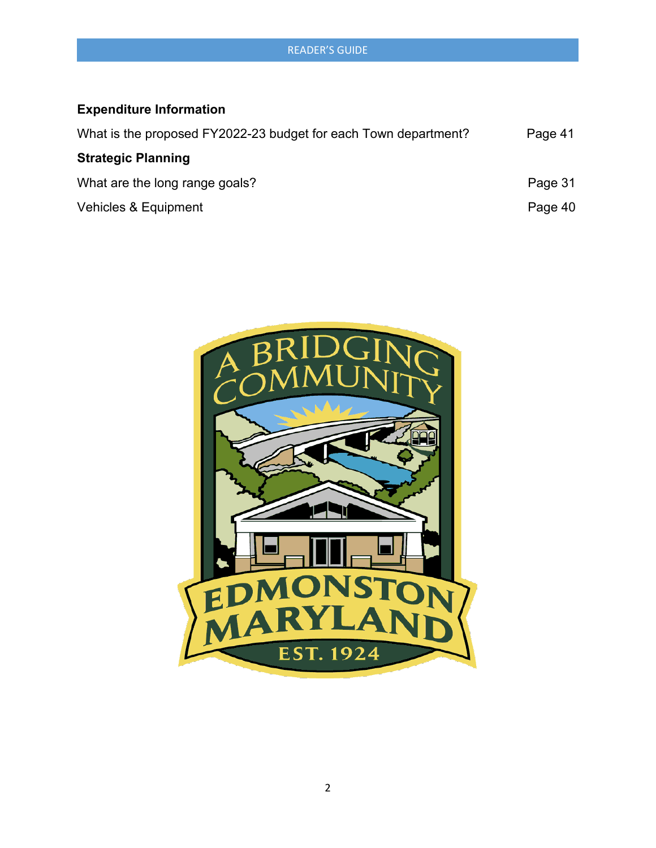# **Expenditure Information**

| What is the proposed FY2022-23 budget for each Town department? | Page 41 |
|-----------------------------------------------------------------|---------|
| <b>Strategic Planning</b>                                       |         |
| What are the long range goals?                                  | Page 31 |
| Vehicles & Equipment                                            | Page 40 |

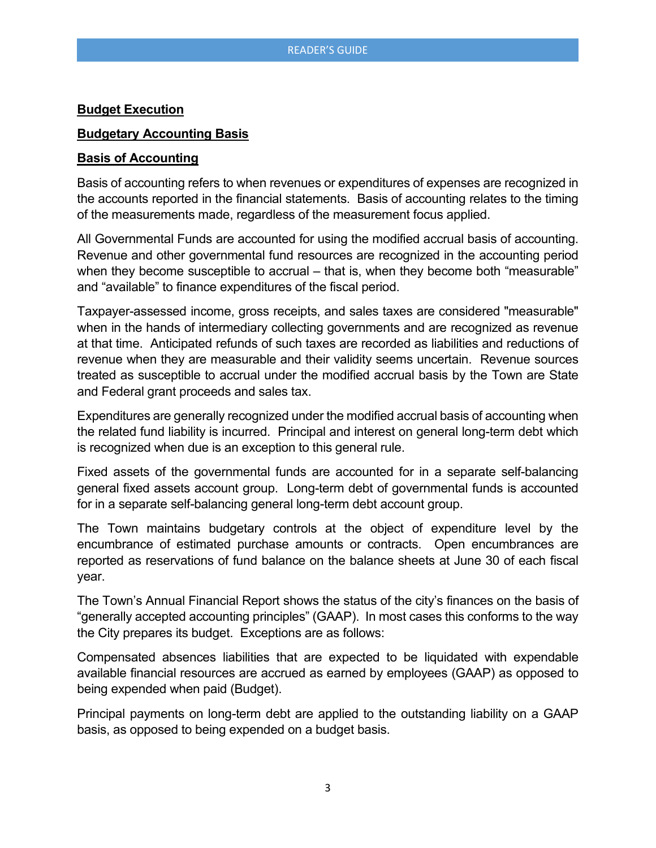#### **Budget Execution**

#### **Budgetary Accounting Basis**

#### **Basis of Accounting**

Basis of accounting refers to when revenues or expenditures of expenses are recognized in the accounts reported in the financial statements. Basis of accounting relates to the timing of the measurements made, regardless of the measurement focus applied.

All Governmental Funds are accounted for using the modified accrual basis of accounting. Revenue and other governmental fund resources are recognized in the accounting period when they become susceptible to accrual – that is, when they become both "measurable" and "available" to finance expenditures of the fiscal period.

Taxpayer-assessed income, gross receipts, and sales taxes are considered "measurable" when in the hands of intermediary collecting governments and are recognized as revenue at that time. Anticipated refunds of such taxes are recorded as liabilities and reductions of revenue when they are measurable and their validity seems uncertain. Revenue sources treated as susceptible to accrual under the modified accrual basis by the Town are State and Federal grant proceeds and sales tax.

Expenditures are generally recognized under the modified accrual basis of accounting when the related fund liability is incurred. Principal and interest on general long-term debt which is recognized when due is an exception to this general rule.

Fixed assets of the governmental funds are accounted for in a separate self-balancing general fixed assets account group. Long-term debt of governmental funds is accounted for in a separate self-balancing general long-term debt account group.

The Town maintains budgetary controls at the object of expenditure level by the encumbrance of estimated purchase amounts or contracts. Open encumbrances are reported as reservations of fund balance on the balance sheets at June 30 of each fiscal year.

The Town's Annual Financial Report shows the status of the city's finances on the basis of "generally accepted accounting principles" (GAAP). In most cases this conforms to the way the City prepares its budget. Exceptions are as follows:

Compensated absences liabilities that are expected to be liquidated with expendable available financial resources are accrued as earned by employees (GAAP) as opposed to being expended when paid (Budget).

Principal payments on long-term debt are applied to the outstanding liability on a GAAP basis, as opposed to being expended on a budget basis.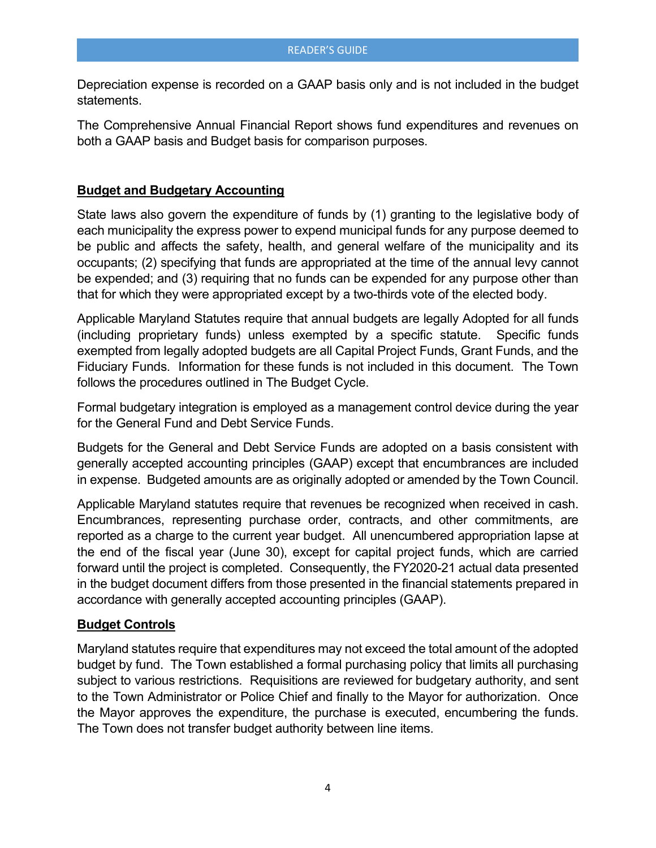Depreciation expense is recorded on a GAAP basis only and is not included in the budget statements.

The Comprehensive Annual Financial Report shows fund expenditures and revenues on both a GAAP basis and Budget basis for comparison purposes.

#### **Budget and Budgetary Accounting**

State laws also govern the expenditure of funds by (1) granting to the legislative body of each municipality the express power to expend municipal funds for any purpose deemed to be public and affects the safety, health, and general welfare of the municipality and its occupants; (2) specifying that funds are appropriated at the time of the annual levy cannot be expended; and (3) requiring that no funds can be expended for any purpose other than that for which they were appropriated except by a two-thirds vote of the elected body.

Applicable Maryland Statutes require that annual budgets are legally Adopted for all funds (including proprietary funds) unless exempted by a specific statute. Specific funds exempted from legally adopted budgets are all Capital Project Funds, Grant Funds, and the Fiduciary Funds. Information for these funds is not included in this document. The Town follows the procedures outlined in The Budget Cycle.

Formal budgetary integration is employed as a management control device during the year for the General Fund and Debt Service Funds.

Budgets for the General and Debt Service Funds are adopted on a basis consistent with generally accepted accounting principles (GAAP) except that encumbrances are included in expense. Budgeted amounts are as originally adopted or amended by the Town Council.

Applicable Maryland statutes require that revenues be recognized when received in cash. Encumbrances, representing purchase order, contracts, and other commitments, are reported as a charge to the current year budget. All unencumbered appropriation lapse at the end of the fiscal year (June 30), except for capital project funds, which are carried forward until the project is completed. Consequently, the FY2020-21 actual data presented in the budget document differs from those presented in the financial statements prepared in accordance with generally accepted accounting principles (GAAP).

#### **Budget Controls**

Maryland statutes require that expenditures may not exceed the total amount of the adopted budget by fund. The Town established a formal purchasing policy that limits all purchasing subject to various restrictions. Requisitions are reviewed for budgetary authority, and sent to the Town Administrator or Police Chief and finally to the Mayor for authorization. Once the Mayor approves the expenditure, the purchase is executed, encumbering the funds. The Town does not transfer budget authority between line items.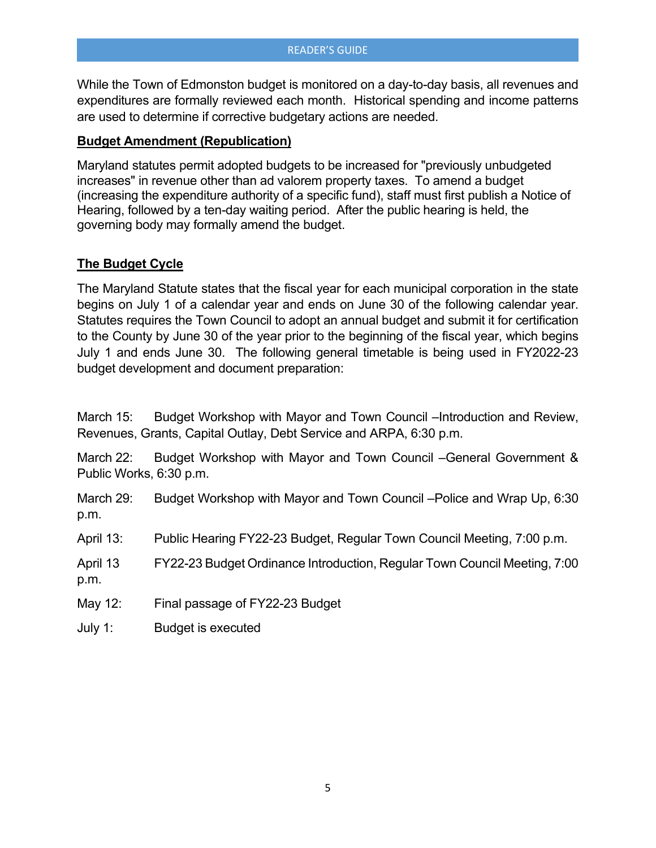While the Town of Edmonston budget is monitored on a day-to-day basis, all revenues and expenditures are formally reviewed each month. Historical spending and income patterns are used to determine if corrective budgetary actions are needed.

#### **Budget Amendment (Republication)**

Maryland statutes permit adopted budgets to be increased for "previously unbudgeted increases" in revenue other than ad valorem property taxes. To amend a budget (increasing the expenditure authority of a specific fund), staff must first publish a Notice of Hearing, followed by a ten-day waiting period. After the public hearing is held, the governing body may formally amend the budget.

## **The Budget Cycle**

The Maryland Statute states that the fiscal year for each municipal corporation in the state begins on July 1 of a calendar year and ends on June 30 of the following calendar year. Statutes requires the Town Council to adopt an annual budget and submit it for certification to the County by June 30 of the year prior to the beginning of the fiscal year, which begins July 1 and ends June 30. The following general timetable is being used in FY2022-23 budget development and document preparation:

March 15: Budget Workshop with Mayor and Town Council –Introduction and Review, Revenues, Grants, Capital Outlay, Debt Service and ARPA, 6:30 p.m.

March 22: Budget Workshop with Mayor and Town Council –General Government & Public Works, 6:30 p.m.

March 29: Budget Workshop with Mayor and Town Council – Police and Wrap Up, 6:30 p.m.

April 13: Public Hearing FY22-23 Budget, Regular Town Council Meeting, 7:00 p.m.

April 13 FY22-23 Budget Ordinance Introduction, Regular Town Council Meeting, 7:00 p.m.

May 12: Final passage of FY22-23 Budget

July 1: Budget is executed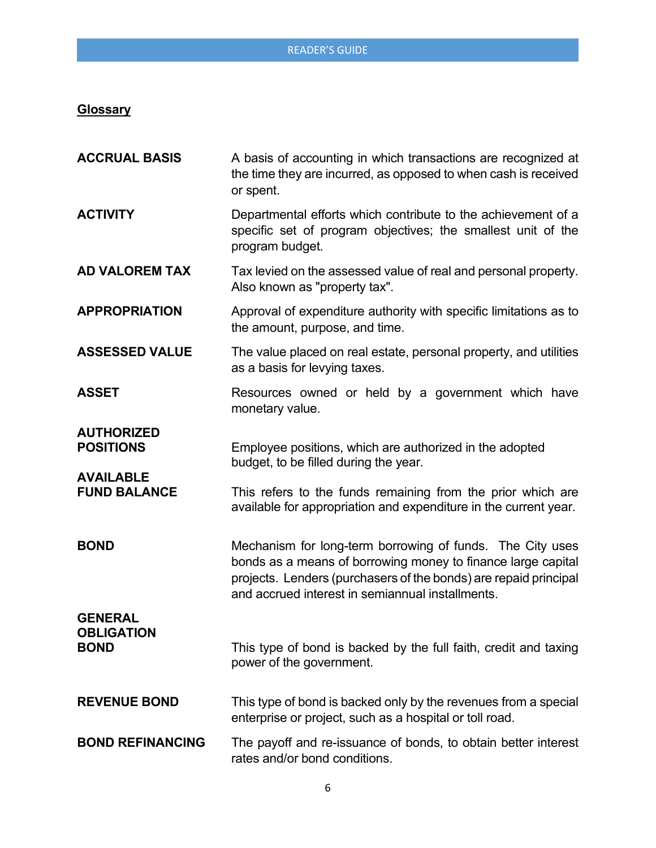## **Glossary**

| <b>ACCRUAL BASIS</b>                                      | A basis of accounting in which transactions are recognized at<br>the time they are incurred, as opposed to when cash is received<br>or spent.                                                                                                     |
|-----------------------------------------------------------|---------------------------------------------------------------------------------------------------------------------------------------------------------------------------------------------------------------------------------------------------|
| <b>ACTIVITY</b>                                           | Departmental efforts which contribute to the achievement of a<br>specific set of program objectives; the smallest unit of the<br>program budget.                                                                                                  |
| <b>AD VALOREM TAX</b>                                     | Tax levied on the assessed value of real and personal property.<br>Also known as "property tax".                                                                                                                                                  |
| <b>APPROPRIATION</b>                                      | Approval of expenditure authority with specific limitations as to<br>the amount, purpose, and time.                                                                                                                                               |
| <b>ASSESSED VALUE</b>                                     | The value placed on real estate, personal property, and utilities<br>as a basis for levying taxes.                                                                                                                                                |
| <b>ASSET</b>                                              | Resources owned or held by a government which have<br>monetary value.                                                                                                                                                                             |
| <b>AUTHORIZED</b><br><b>POSITIONS</b><br><b>AVAILABLE</b> | Employee positions, which are authorized in the adopted<br>budget, to be filled during the year.                                                                                                                                                  |
| <b>FUND BALANCE</b>                                       | This refers to the funds remaining from the prior which are<br>available for appropriation and expenditure in the current year.                                                                                                                   |
| <b>BOND</b>                                               | Mechanism for long-term borrowing of funds. The City uses<br>bonds as a means of borrowing money to finance large capital<br>projects. Lenders (purchasers of the bonds) are repaid principal<br>and accrued interest in semiannual installments. |
| <b>GENERAL</b><br><b>OBLIGATION</b><br><b>BOND</b>        | This type of bond is backed by the full faith, credit and taxing<br>power of the government.                                                                                                                                                      |
| <b>REVENUE BOND</b>                                       | This type of bond is backed only by the revenues from a special<br>enterprise or project, such as a hospital or toll road.                                                                                                                        |
| <b>BOND REFINANCING</b>                                   | The payoff and re-issuance of bonds, to obtain better interest<br>rates and/or bond conditions.                                                                                                                                                   |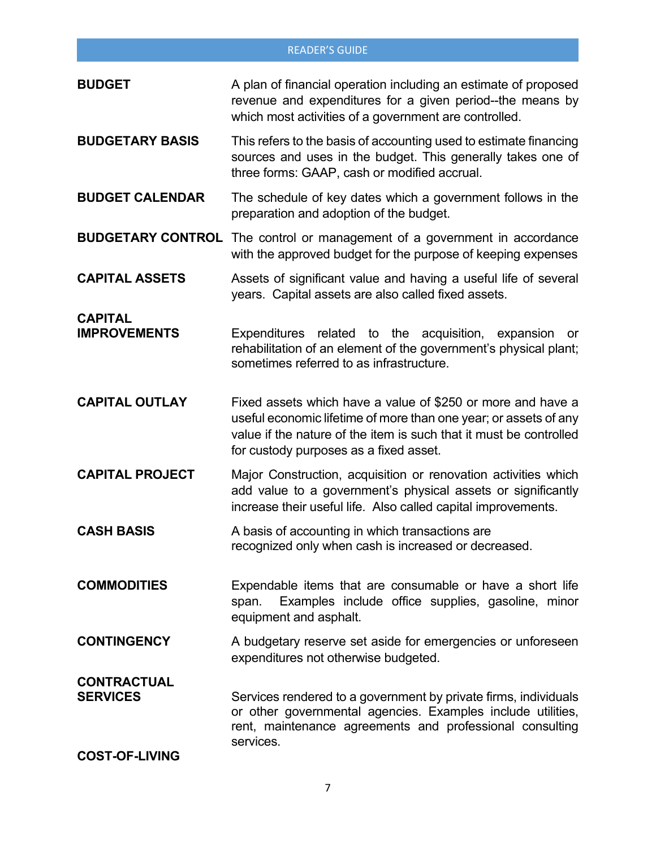| <b>BUDGET</b>                         | A plan of financial operation including an estimate of proposed<br>revenue and expenditures for a given period--the means by<br>which most activities of a government are controlled.                                                           |
|---------------------------------------|-------------------------------------------------------------------------------------------------------------------------------------------------------------------------------------------------------------------------------------------------|
| <b>BUDGETARY BASIS</b>                | This refers to the basis of accounting used to estimate financing<br>sources and uses in the budget. This generally takes one of<br>three forms: GAAP, cash or modified accrual.                                                                |
| <b>BUDGET CALENDAR</b>                | The schedule of key dates which a government follows in the<br>preparation and adoption of the budget.                                                                                                                                          |
|                                       | <b>BUDGETARY CONTROL</b> The control or management of a government in accordance<br>with the approved budget for the purpose of keeping expenses                                                                                                |
| <b>CAPITAL ASSETS</b>                 | Assets of significant value and having a useful life of several<br>years. Capital assets are also called fixed assets.                                                                                                                          |
| <b>CAPITAL</b><br><b>IMPROVEMENTS</b> | Expenditures related to the acquisition, expansion<br>or<br>rehabilitation of an element of the government's physical plant;<br>sometimes referred to as infrastructure.                                                                        |
| <b>CAPITAL OUTLAY</b>                 | Fixed assets which have a value of \$250 or more and have a<br>useful economic lifetime of more than one year; or assets of any<br>value if the nature of the item is such that it must be controlled<br>for custody purposes as a fixed asset. |
| <b>CAPITAL PROJECT</b>                | Major Construction, acquisition or renovation activities which<br>add value to a government's physical assets or significantly<br>increase their useful life. Also called capital improvements.                                                 |
| <b>CASH BASIS</b>                     | A basis of accounting in which transactions are<br>recognized only when cash is increased or decreased.                                                                                                                                         |
| <b>COMMODITIES</b>                    | Expendable items that are consumable or have a short life<br>Examples include office supplies, gasoline, minor<br>span.<br>equipment and asphalt.                                                                                               |
| <b>CONTINGENCY</b>                    | A budgetary reserve set aside for emergencies or unforeseen<br>expenditures not otherwise budgeted.                                                                                                                                             |
| <b>CONTRACTUAL</b><br><b>SERVICES</b> | Services rendered to a government by private firms, individuals<br>or other governmental agencies. Examples include utilities,<br>rent, maintenance agreements and professional consulting<br>services.                                         |
| <b>COST-OF-LIVING</b>                 |                                                                                                                                                                                                                                                 |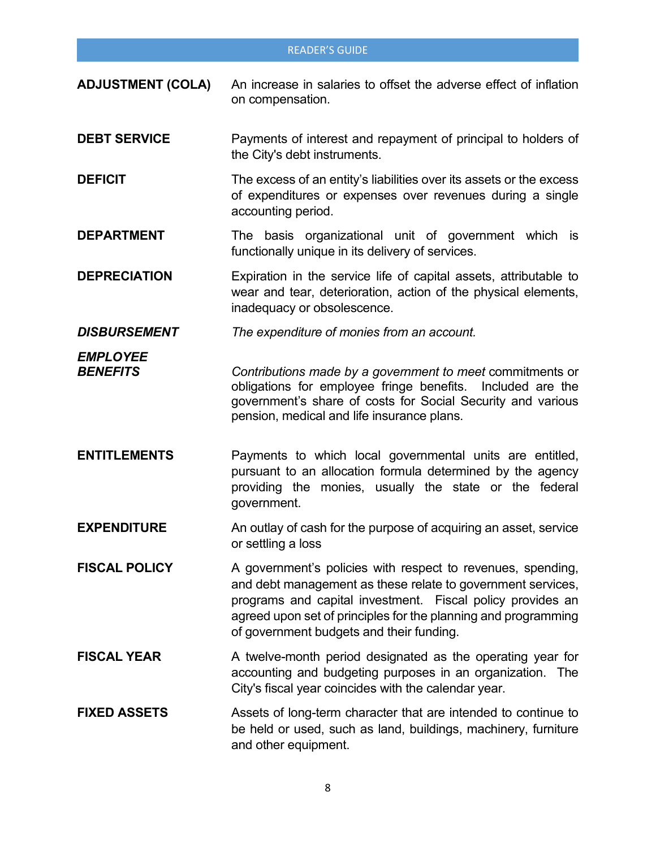- **ADJUSTMENT (COLA)** An increase in salaries to offset the adverse effect of inflation on compensation.
- **DEBT SERVICE** Payments of interest and repayment of principal to holders of the City's debt instruments.
- **DEFICIT** The excess of an entity's liabilities over its assets or the excess of expenditures or expenses over revenues during a single accounting period.
- **DEPARTMENT** The basis organizational unit of government which is functionally unique in its delivery of services.
- **DEPRECIATION** Expiration in the service life of capital assets, attributable to wear and tear, deterioration, action of the physical elements, inadequacy or obsolescence.
- *DISBURSEMENT The expenditure of monies from an account.*
- *EMPLOYEE Contributions made by a government to meet commitments or* obligations for employee fringe benefits. Included are the government's share of costs for Social Security and various pension, medical and life insurance plans.
- **ENTITLEMENTS** Payments to which local governmental units are entitled, pursuant to an allocation formula determined by the agency providing the monies, usually the state or the federal government.
- **EXPENDITURE** An outlay of cash for the purpose of acquiring an asset, service or settling a loss
- **FISCAL POLICY** A government's policies with respect to revenues, spending, and debt management as these relate to government services, programs and capital investment. Fiscal policy provides an agreed upon set of principles for the planning and programming of government budgets and their funding.
- **FISCAL YEAR** A twelve-month period designated as the operating year for accounting and budgeting purposes in an organization. The City's fiscal year coincides with the calendar year.
- **FIXED ASSETS** Assets of long-term character that are intended to continue to be held or used, such as land, buildings, machinery, furniture and other equipment.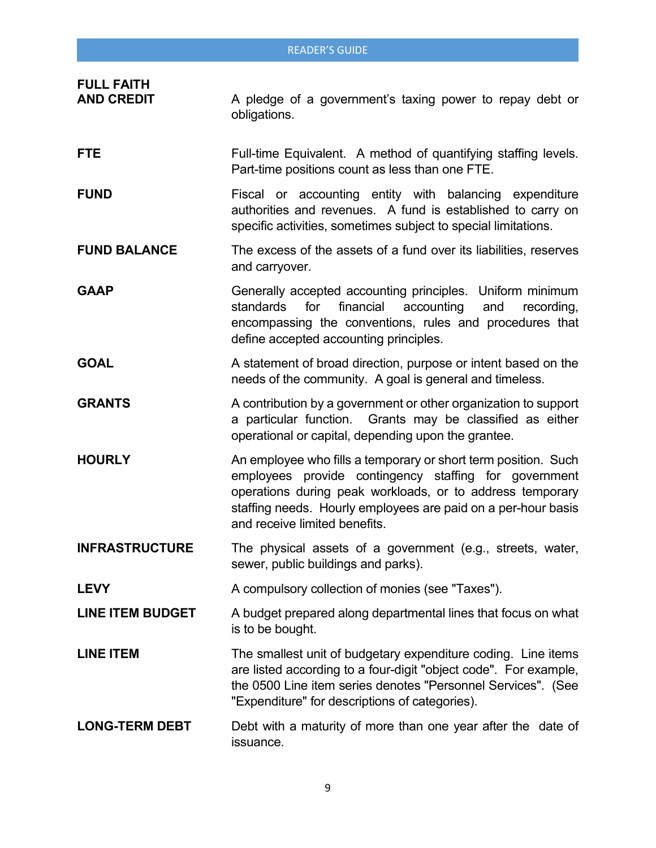|                                        | <b>READER'S GUIDE</b>                                                                                                                                                                                                                                                                  |
|----------------------------------------|----------------------------------------------------------------------------------------------------------------------------------------------------------------------------------------------------------------------------------------------------------------------------------------|
| <b>FULL FAITH</b><br><b>AND CREDIT</b> | A pledge of a government's taxing power to repay debt or<br>obligations.                                                                                                                                                                                                               |
| <b>FTE</b>                             | Full-time Equivalent. A method of quantifying staffing levels.<br>Part-time positions count as less than one FTE.                                                                                                                                                                      |
| <b>FUND</b>                            | Fiscal or accounting entity with balancing expenditure<br>authorities and revenues. A fund is established to carry on<br>specific activities, sometimes subject to special limitations.                                                                                                |
| <b>FUND BALANCE</b>                    | The excess of the assets of a fund over its liabilities, reserves<br>and carryover.                                                                                                                                                                                                    |
| <b>GAAP</b>                            | Generally accepted accounting principles. Uniform minimum<br>standards<br>for<br>financial<br>accounting<br>and<br>recording,<br>encompassing the conventions, rules and procedures that<br>define accepted accounting principles.                                                     |
| <b>GOAL</b>                            | A statement of broad direction, purpose or intent based on the<br>needs of the community. A goal is general and timeless.                                                                                                                                                              |
| <b>GRANTS</b>                          | A contribution by a government or other organization to support<br>a particular function. Grants may be classified as either<br>operational or capital, depending upon the grantee.                                                                                                    |
| <b>HOURLY</b>                          | An employee who fills a temporary or short term position. Such<br>employees provide contingency staffing for government<br>operations during peak workloads, or to address temporary<br>staffing needs. Hourly employees are paid on a per-hour basis<br>and receive limited benefits. |
| <b>INFRASTRUCTURE</b>                  | The physical assets of a government (e.g., streets, water,<br>sewer, public buildings and parks).                                                                                                                                                                                      |
| <b>LEVY</b>                            | A compulsory collection of monies (see "Taxes").                                                                                                                                                                                                                                       |
| <b>LINE ITEM BUDGET</b>                | A budget prepared along departmental lines that focus on what<br>is to be bought.                                                                                                                                                                                                      |
| <b>LINE ITEM</b>                       | The smallest unit of budgetary expenditure coding. Line items<br>are listed according to a four-digit "object code". For example,<br>the 0500 Line item series denotes "Personnel Services". (See<br>"Expenditure" for descriptions of categories).                                    |
| <b>LONG-TERM DEBT</b>                  | Debt with a maturity of more than one year after the date of<br>issuance.                                                                                                                                                                                                              |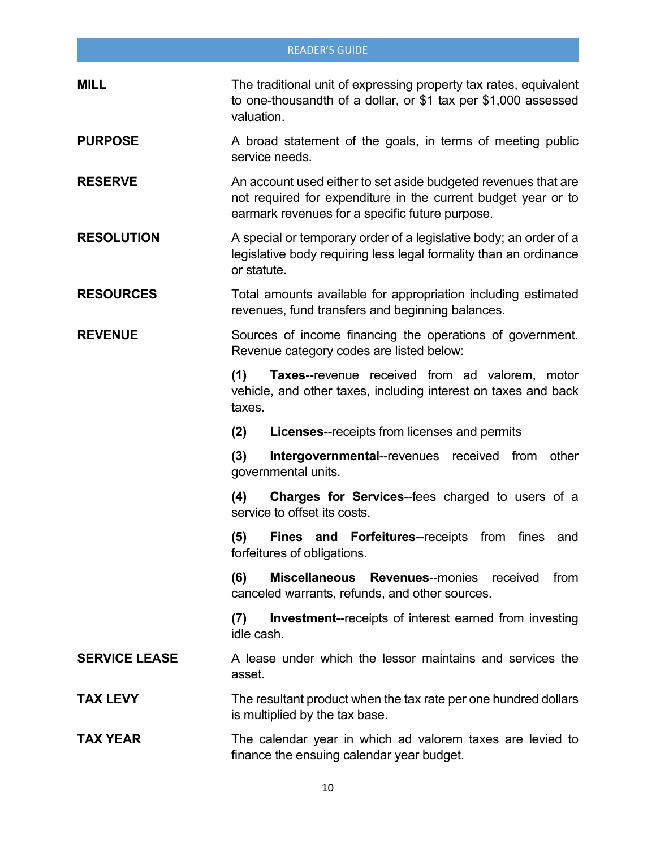|                      | <b>READER'S GUIDE</b>                                                                                                                                                              |
|----------------------|------------------------------------------------------------------------------------------------------------------------------------------------------------------------------------|
| <b>MILL</b>          | The traditional unit of expressing property tax rates, equivalent<br>to one-thousandth of a dollar, or \$1 tax per \$1,000 assessed<br>valuation.                                  |
| <b>PURPOSE</b>       | A broad statement of the goals, in terms of meeting public<br>service needs.                                                                                                       |
| <b>RESERVE</b>       | An account used either to set aside budgeted revenues that are<br>not required for expenditure in the current budget year or to<br>earmark revenues for a specific future purpose. |
| <b>RESOLUTION</b>    | A special or temporary order of a legislative body; an order of a<br>legislative body requiring less legal formality than an ordinance<br>or statute.                              |
| <b>RESOURCES</b>     | Total amounts available for appropriation including estimated<br>revenues, fund transfers and beginning balances.                                                                  |
| <b>REVENUE</b>       | Sources of income financing the operations of government.<br>Revenue category codes are listed below:                                                                              |
|                      | Taxes--revenue received from ad valorem, motor<br>(1)<br>vehicle, and other taxes, including interest on taxes and back<br>taxes.                                                  |
|                      | <b>Licenses--receipts from licenses and permits</b><br>(2)                                                                                                                         |
|                      | (3)<br>Intergovernmental--revenues<br>from<br>other<br>received<br>governmental units.                                                                                             |
|                      | (4)<br><b>Charges for Services--fees charged to users of a</b><br>service to offset its costs.                                                                                     |
|                      | <b>Fines and Forfeitures--receipts from fines</b><br>(5)<br>and<br>forfeitures of obligations.                                                                                     |
|                      | <b>Miscellaneous</b><br>(6)<br><b>Revenues--monies</b><br>received<br>from<br>canceled warrants, refunds, and other sources.                                                       |
|                      | <b>Investment--receipts of interest earned from investing</b><br>(7)<br>idle cash.                                                                                                 |
| <b>SERVICE LEASE</b> | A lease under which the lessor maintains and services the<br>asset.                                                                                                                |
| <b>TAX LEVY</b>      | The resultant product when the tax rate per one hundred dollars<br>is multiplied by the tax base.                                                                                  |
| <b>TAX YEAR</b>      | The calendar year in which ad valorem taxes are levied to<br>finance the ensuing calendar year budget.                                                                             |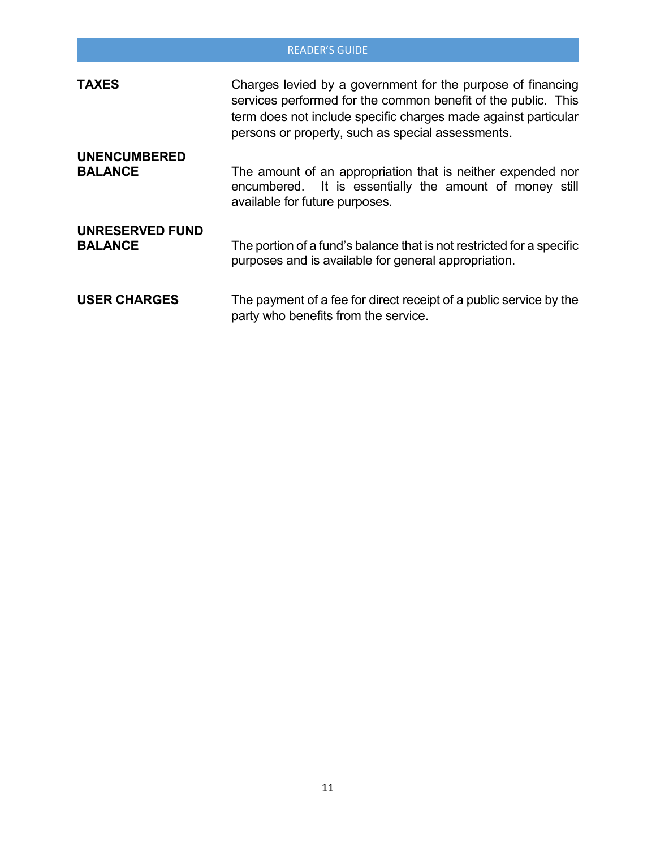|                                          | <b>READER'S GUIDE</b>                                                                                                                                                                                                                               |
|------------------------------------------|-----------------------------------------------------------------------------------------------------------------------------------------------------------------------------------------------------------------------------------------------------|
| <b>TAXES</b>                             | Charges levied by a government for the purpose of financing<br>services performed for the common benefit of the public. This<br>term does not include specific charges made against particular<br>persons or property, such as special assessments. |
| <b>UNENCUMBERED</b><br><b>BALANCE</b>    | The amount of an appropriation that is neither expended nor<br>encumbered. It is essentially the amount of money still<br>available for future purposes.                                                                                            |
| <b>UNRESERVED FUND</b><br><b>BALANCE</b> | The portion of a fund's balance that is not restricted for a specific<br>purposes and is available for general appropriation.                                                                                                                       |
| <b>USER CHARGES</b>                      | The payment of a fee for direct receipt of a public service by the<br>party who benefits from the service.                                                                                                                                          |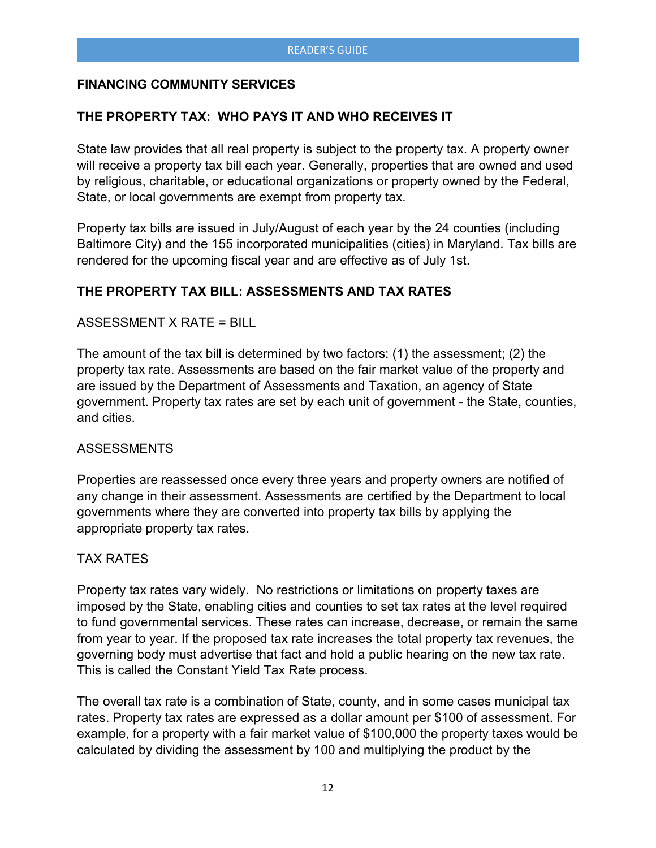## **FINANCING COMMUNITY SERVICES**

## **THE PROPERTY TAX: WHO PAYS IT AND WHO RECEIVES IT**

State law provides that all real property is subject to the property tax. A property owner will receive a property tax bill each year. Generally, properties that are owned and used by religious, charitable, or educational organizations or property owned by the Federal, State, or local governments are exempt from property tax.

Property tax bills are issued in July/August of each year by the 24 counties (including Baltimore City) and the 155 incorporated municipalities (cities) in Maryland. Tax bills are rendered for the upcoming fiscal year and are effective as of July 1st.

## **THE PROPERTY TAX BILL: ASSESSMENTS AND TAX RATES**

#### ASSESSMENT X RATE = BILL

The amount of the tax bill is determined by two factors: (1) the assessment; (2) the property tax rate. Assessments are based on the fair market value of the property and are issued by the Department of Assessments and Taxation, an agency of State government. Property tax rates are set by each unit of government - the State, counties, and cities.

#### **ASSESSMENTS**

Properties are reassessed once every three years and property owners are notified of any change in their assessment. Assessments are certified by the Department to local governments where they are converted into property tax bills by applying the appropriate property tax rates.

#### TAX RATES

Property tax rates vary widely. No restrictions or limitations on property taxes are imposed by the State, enabling cities and counties to set tax rates at the level required to fund governmental services. These rates can increase, decrease, or remain the same from year to year. If the proposed tax rate increases the total property tax revenues, the governing body must advertise that fact and hold a public hearing on the new tax rate. This is called the Constant Yield Tax Rate process.

The overall tax rate is a combination of State, county, and in some cases municipal tax rates. Property tax rates are expressed as a dollar amount per \$100 of assessment. For example, for a property with a fair market value of \$100,000 the property taxes would be calculated by dividing the assessment by 100 and multiplying the product by the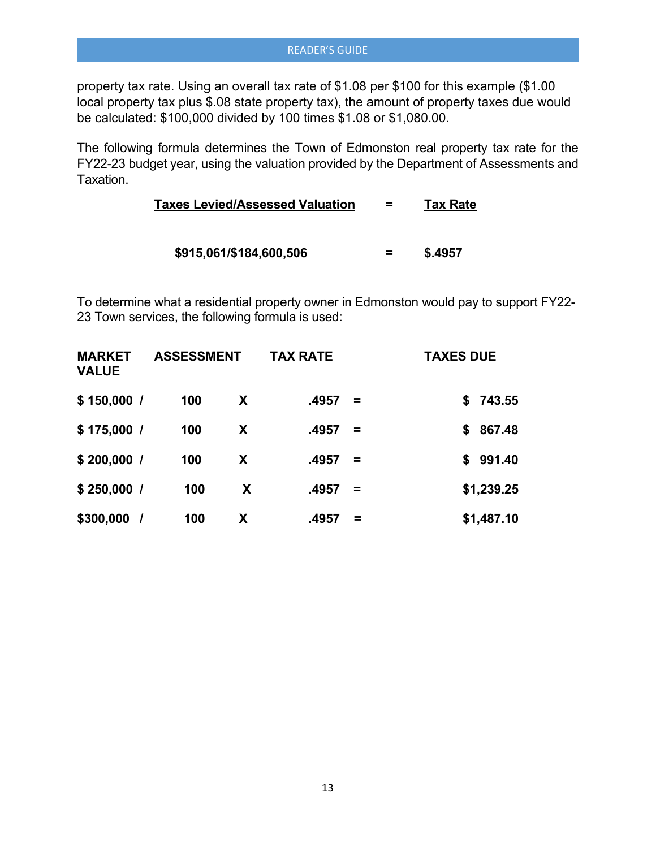property tax rate. Using an overall tax rate of \$1.08 per \$100 for this example (\$1.00 local property tax plus \$.08 state property tax), the amount of property taxes due would be calculated: \$100,000 divided by 100 times \$1.08 or \$1,080.00.

The following formula determines the Town of Edmonston real property tax rate for the FY22-23 budget year, using the valuation provided by the Department of Assessments and Taxation.

| <b>Taxes Levied/Assessed Valuation</b> |  | <b>Tax Rate</b> |
|----------------------------------------|--|-----------------|
|----------------------------------------|--|-----------------|

 **\$915,061/\$184,600,506 = \$.4957** 

To determine what a residential property owner in Edmonston would pay to support FY22- 23 Town services, the following formula is used:

| <b>MARKET</b><br><b>VALUE</b> | <b>ASSESSMENT</b> |   | <b>TAX RATE</b> |          | <b>TAXES DUE</b> |
|-------------------------------|-------------------|---|-----------------|----------|------------------|
| \$150,000/                    | 100               | X | .4957           | $\equiv$ | \$743.55         |
| \$175,000/                    | 100               | X | .4957           | $\equiv$ | 867.48<br>S      |
| $$200,000$ /                  | 100               | X | .4957           | $\equiv$ | 991.40<br>S.     |
| $$250,000$ /                  | 100               | X | .4957           | $\equiv$ | \$1,239.25       |
| \$300,000                     | 100               | X | .4957           | =        | \$1,487.10       |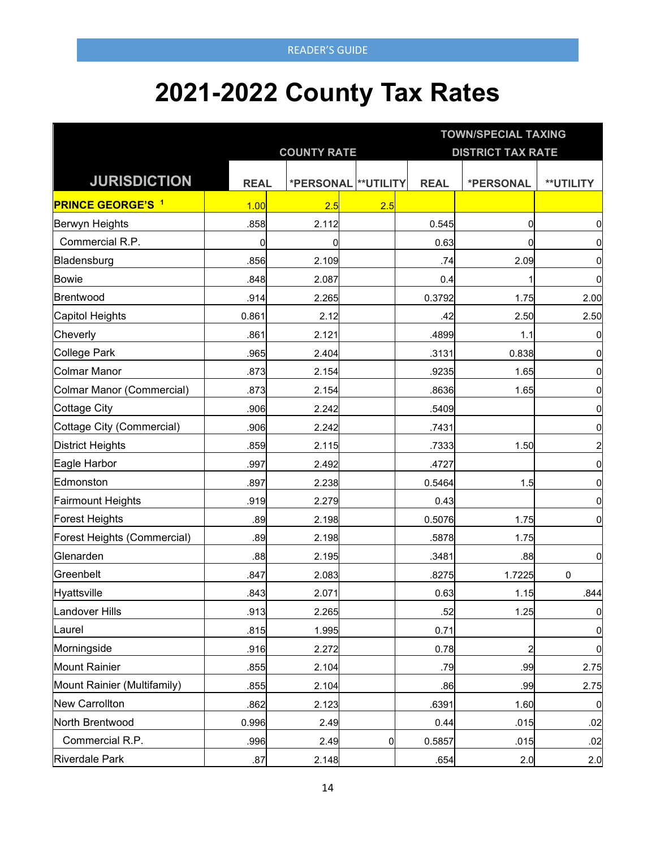# **2021-2022 County Tax Rates**

|                             |             |                    |                      |                          | <b>TOWN/SPECIAL TAXING</b> |                         |  |  |
|-----------------------------|-------------|--------------------|----------------------|--------------------------|----------------------------|-------------------------|--|--|
|                             |             | <b>COUNTY RATE</b> |                      | <b>DISTRICT TAX RATE</b> |                            |                         |  |  |
| <b>JURISDICTION</b>         | <b>REAL</b> |                    | *PERSONAL ** UTILITY | <b>REAL</b>              | *PERSONAL                  | <b>**UTILITY</b>        |  |  |
| <b>PRINCE GEORGE'S 1</b>    | 1.00        | 2.5                | 2.5                  |                          |                            |                         |  |  |
| Berwyn Heights              | .858        | 2.112              |                      | 0.545                    | $\Omega$                   | 0                       |  |  |
| Commercial R.P.             | 0           | $\mathbf 0$        |                      | 0.63                     | $\Omega$                   | 0                       |  |  |
| Bladensburg                 | .856        | 2.109              |                      | .74                      | 2.09                       | 0                       |  |  |
| <b>Bowie</b>                | .848        | 2.087              |                      | 0.4                      |                            | 0                       |  |  |
| Brentwood                   | .914        | 2.265              |                      | 0.3792                   | 1.75                       | 2.00                    |  |  |
| Capitol Heights             | 0.861       | 2.12               |                      | .42                      | 2.50                       | 2.50                    |  |  |
| Cheverly                    | .861        | 2.121              |                      | .4899                    | 1.1                        | 0                       |  |  |
| <b>College Park</b>         | .965        | 2.404              |                      | .3131                    | 0.838                      | 0                       |  |  |
| <b>Colmar Manor</b>         | .873        | 2.154              |                      | .9235                    | 1.65                       | $\overline{0}$          |  |  |
| Colmar Manor (Commercial)   | .873        | 2.154              |                      | .8636                    | 1.65                       | 0                       |  |  |
| <b>Cottage City</b>         | .906        | 2.242              |                      | .5409                    |                            | $\overline{0}$          |  |  |
| Cottage City (Commercial)   | .906        | 2.242              |                      | .7431                    |                            | 0                       |  |  |
| <b>District Heights</b>     | .859        | 2.115              |                      | .7333                    | 1.50                       | $\overline{\mathbf{c}}$ |  |  |
| Eagle Harbor                | .997        | 2.492              |                      | .4727                    |                            | $\overline{0}$          |  |  |
| Edmonston                   | .897        | 2.238              |                      | 0.5464                   | 1.5                        | $\overline{0}$          |  |  |
| <b>Fairmount Heights</b>    | .919        | 2.279              |                      | 0.43                     |                            | $\overline{0}$          |  |  |
| <b>Forest Heights</b>       | .89         | 2.198              |                      | 0.5076                   | 1.75                       | $\overline{0}$          |  |  |
| Forest Heights (Commercial) | .89         | 2.198              |                      | .5878                    | 1.75                       |                         |  |  |
| Glenarden                   | .88         | 2.195              |                      | .3481                    | .88                        | $\overline{0}$          |  |  |
| Greenbelt                   | .847        | 2.083              |                      | .8275                    | 1.7225                     | 0                       |  |  |
| Hyattsville                 | .843        | 2.071              |                      | 0.63                     | 1.15                       | .844                    |  |  |
| Landover Hills              | .913        | 2.265              |                      | .52                      | 1.25                       | $\overline{0}$          |  |  |
| Laurel                      | .815        | 1.995              |                      | 0.71                     |                            | $\overline{0}$          |  |  |
| Morningside                 | .916        | 2.272              |                      | 0.78                     | $\overline{a}$             | $\overline{0}$          |  |  |
| Mount Rainier               | .855        | 2.104              |                      | .79                      | .99                        | 2.75                    |  |  |
| Mount Rainier (Multifamily) | .855        | 2.104              |                      | .86                      | .99                        | 2.75                    |  |  |
| New Carrollton              | .862        | 2.123              |                      | .6391                    | 1.60                       | $\overline{0}$          |  |  |
| North Brentwood             | 0.996       | 2.49               |                      | 0.44                     | .015                       | .02                     |  |  |
| Commercial R.P.             | .996        | 2.49               | $\overline{0}$       | 0.5857                   | .015                       | .02                     |  |  |
| <b>Riverdale Park</b>       | .87         | 2.148              |                      | .654                     | 2.0                        | 2.0                     |  |  |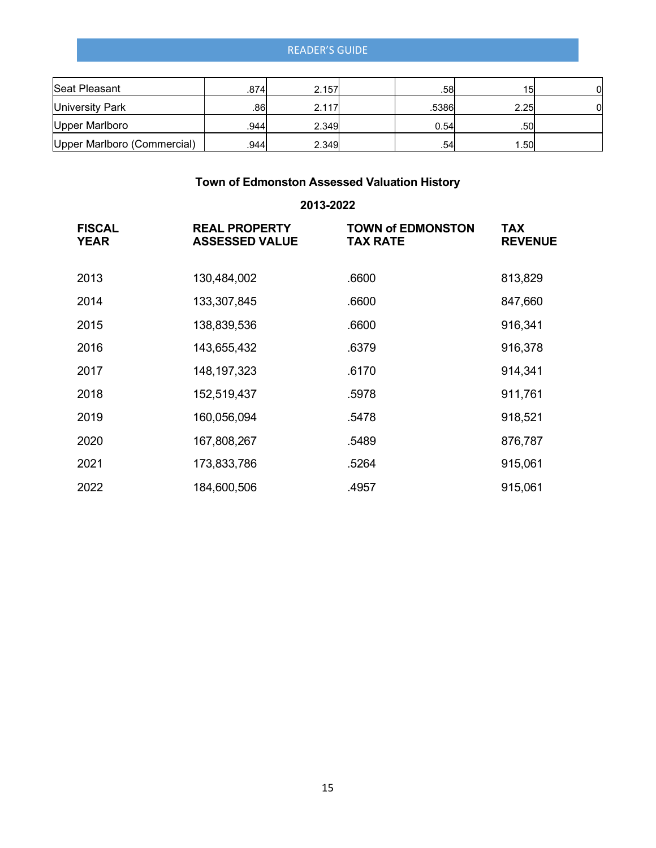| Seat Pleasant               | .874 | 2.157 | .581  | 15 <sub>1</sub> |  |
|-----------------------------|------|-------|-------|-----------------|--|
| <b>University Park</b>      | .86  | 2.117 | .5386 | 2.25            |  |
| Upper Marlboro              | .944 | 2.349 | 0.54  | .50             |  |
| Upper Marlboro (Commercial) | 944  | 2.349 | .54   | 1.50            |  |

## **Town of Edmonston Assessed Valuation History**

## **2013-2022**

| <b>FISCAL</b><br><b>YEAR</b> | <b>REAL PROPERTY</b><br><b>ASSESSED VALUE</b> | <b>TOWN of EDMONSTON</b><br><b>TAX RATE</b> | <b>TAX</b><br><b>REVENUE</b> |
|------------------------------|-----------------------------------------------|---------------------------------------------|------------------------------|
| 2013                         | 130,484,002                                   | .6600                                       | 813,829                      |
| 2014                         | 133,307,845                                   | .6600                                       | 847,660                      |
| 2015                         | 138,839,536                                   | .6600                                       | 916,341                      |
| 2016                         | 143,655,432                                   | .6379                                       | 916,378                      |
| 2017                         | 148, 197, 323                                 | .6170                                       | 914,341                      |
| 2018                         | 152,519,437                                   | .5978                                       | 911,761                      |
| 2019                         | 160,056,094                                   | .5478                                       | 918,521                      |
| 2020                         | 167,808,267                                   | .5489                                       | 876,787                      |
| 2021                         | 173,833,786                                   | .5264                                       | 915,061                      |
| 2022                         | 184,600,506                                   | .4957                                       | 915,061                      |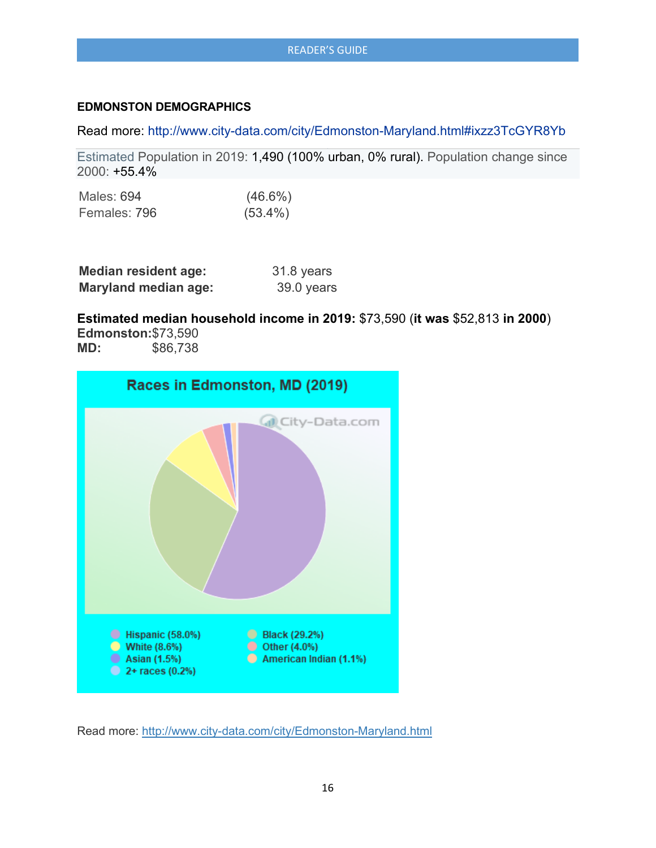#### **EDMONSTON DEMOGRAPHICS**

Read more:<http://www.city-data.com/city/Edmonston-Maryland.html#ixzz3TcGYR8Yb>

Estimated Population in 2019: 1,490 (100% urban, 0% rural). Population change since 2000: +55.4%

| Males: 694   | $(46.6\%)$ |
|--------------|------------|
| Females: 796 | $(53.4\%)$ |

| <b>Median resident age:</b> | 31.8 years |
|-----------------------------|------------|
| <b>Maryland median age:</b> | 39.0 years |

## **Estimated median household income in 2019:** \$73,590 (**it was** \$52,813 **in 2000**)

**Edmonston:**\$73,590<br>**MD:** \$86.738 **MD:** \$86,738



Read more: <http://www.city-data.com/city/Edmonston-Maryland.html>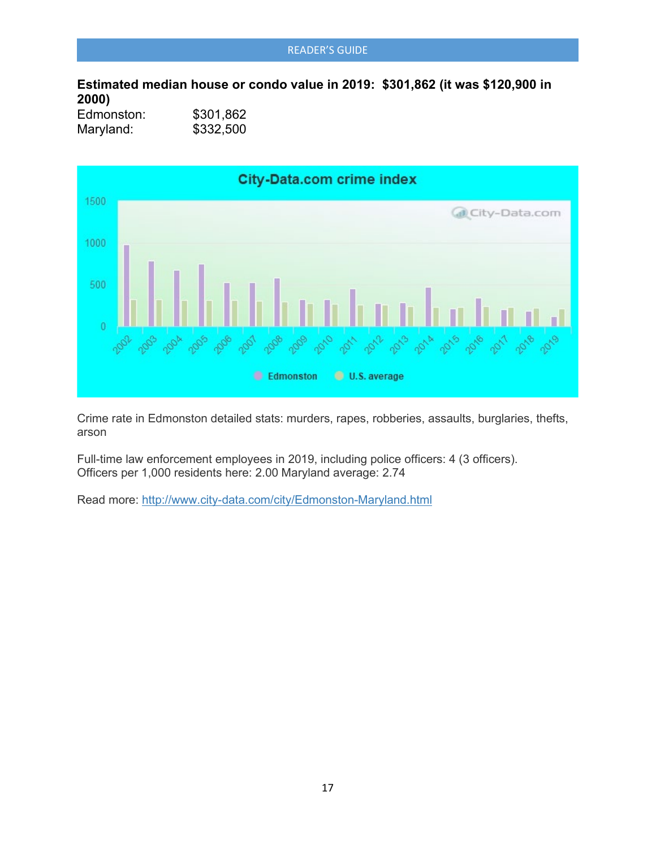**Estimated median house or condo value in 2019: \$301,862 (it was \$120,900 in 2000)**

| Edmonston: | \$301,862 |
|------------|-----------|
| Maryland:  | \$332,500 |



Crime rate in Edmonston detailed stats: murders, rapes, robberies, assaults, burglaries, thefts, arson

Full-time law enforcement employees in 2019, including police officers: 4 (3 officers). Officers per 1,000 residents here: 2.00 Maryland average: 2.74

Read more: <http://www.city-data.com/city/Edmonston-Maryland.html>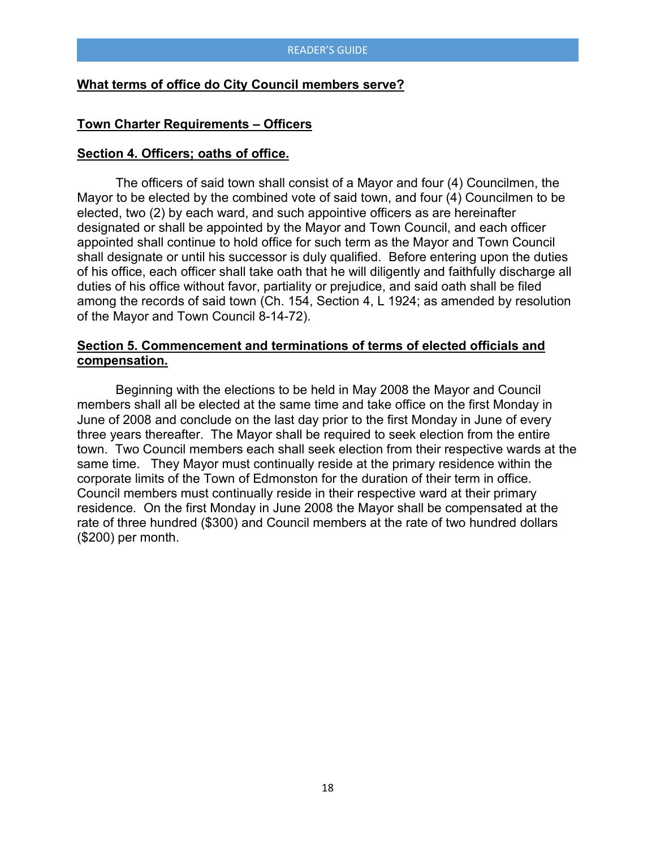#### **What terms of office do City Council members serve?**

#### **Town Charter Requirements – Officers**

#### **Section 4. Officers; oaths of office.**

The officers of said town shall consist of a Mayor and four (4) Councilmen, the Mayor to be elected by the combined vote of said town, and four (4) Councilmen to be elected, two (2) by each ward, and such appointive officers as are hereinafter designated or shall be appointed by the Mayor and Town Council, and each officer appointed shall continue to hold office for such term as the Mayor and Town Council shall designate or until his successor is duly qualified. Before entering upon the duties of his office, each officer shall take oath that he will diligently and faithfully discharge all duties of his office without favor, partiality or prejudice, and said oath shall be filed among the records of said town (Ch. 154, Section 4, L 1924; as amended by resolution of the Mayor and Town Council 8-14-72).

#### **Section 5. Commencement and terminations of terms of elected officials and compensation.**

Beginning with the elections to be held in May 2008 the Mayor and Council members shall all be elected at the same time and take office on the first Monday in June of 2008 and conclude on the last day prior to the first Monday in June of every three years thereafter. The Mayor shall be required to seek election from the entire town. Two Council members each shall seek election from their respective wards at the same time. They Mayor must continually reside at the primary residence within the corporate limits of the Town of Edmonston for the duration of their term in office. Council members must continually reside in their respective ward at their primary residence. On the first Monday in June 2008 the Mayor shall be compensated at the rate of three hundred (\$300) and Council members at the rate of two hundred dollars (\$200) per month.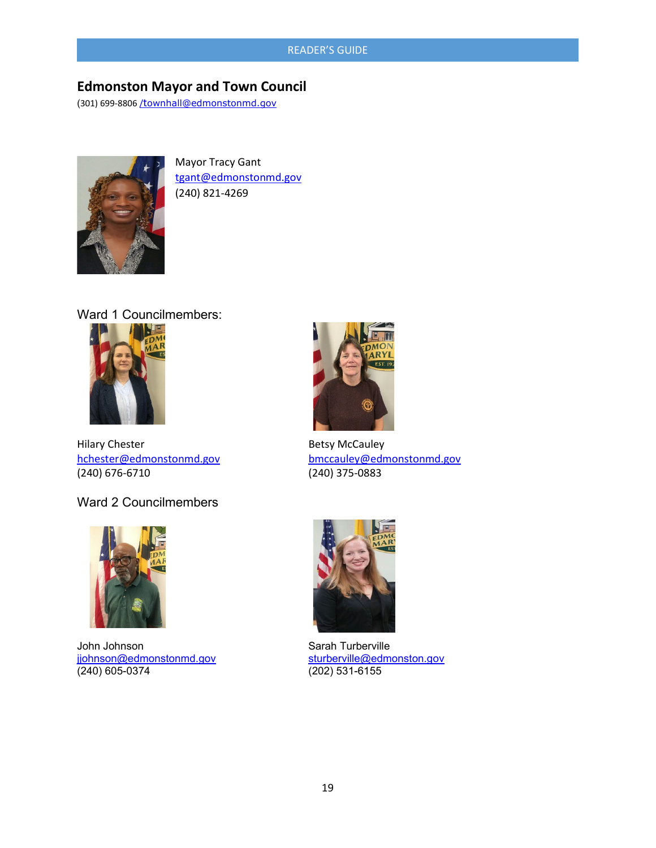## **Edmonston Mayor and Town Council**

(301) 699-8806 [/t](mailto:/townhall@edmonstonmd.gov)[ownhall@edmonstonmd.gov](mailto:/townhall@edmonstonmd.gov)



Mayor Tracy Gant [tgant@edmonstonmd.gov](mailto:tgant@edmonstonmd.gov) (240) 821-4269

Ward 1 Councilmembers:



Hilary Chester **Betsy McCauley** (240) 676-6710 (240) 375-0883

Ward 2 Councilmembers



John Johnson Sarah Turberville j<u>johnson@edmonstonmd.gov</u> [sturberville@edmonston.gov](mailto:sturberville@edmonston.gov)<br>(240) 605-0374 (202) 531-6155  $(240)$  605-0374



[hchester@edmonstonmd.gov](mailto:hchester@edmonstonmd.gov) [bmccauley@edmonstonmd.gov](mailto:bmccauley@edmonstonmd.gov)

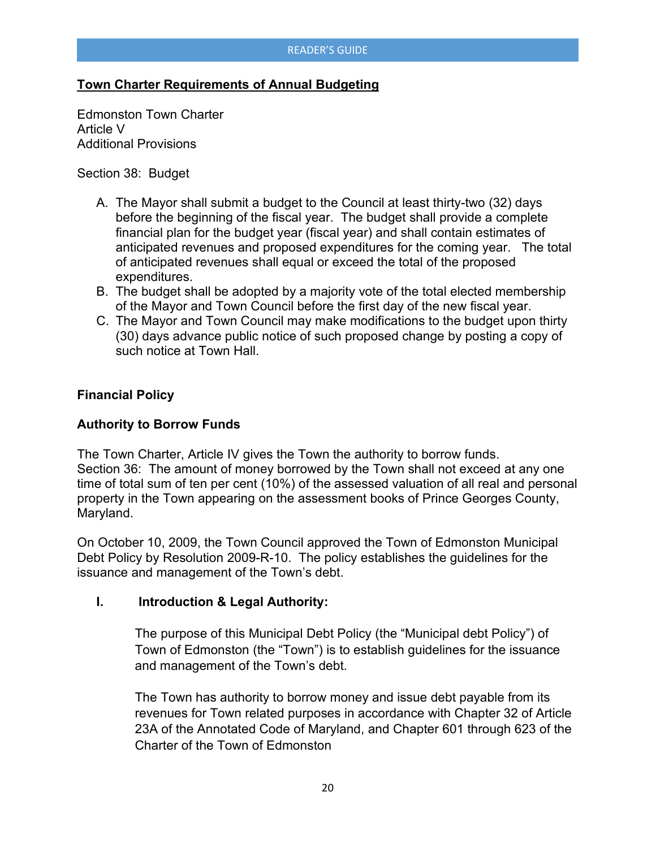## **Town Charter Requirements of Annual Budgeting**

Edmonston Town Charter Article V Additional Provisions

#### Section 38: Budget

- A. The Mayor shall submit a budget to the Council at least thirty-two (32) days before the beginning of the fiscal year. The budget shall provide a complete financial plan for the budget year (fiscal year) and shall contain estimates of anticipated revenues and proposed expenditures for the coming year. The total of anticipated revenues shall equal or exceed the total of the proposed expenditures.
- B. The budget shall be adopted by a majority vote of the total elected membership of the Mayor and Town Council before the first day of the new fiscal year.
- C. The Mayor and Town Council may make modifications to the budget upon thirty (30) days advance public notice of such proposed change by posting a copy of such notice at Town Hall.

#### **Financial Policy**

## **Authority to Borrow Funds**

The Town Charter, Article IV gives the Town the authority to borrow funds. Section 36: The amount of money borrowed by the Town shall not exceed at any one time of total sum of ten per cent (10%) of the assessed valuation of all real and personal property in the Town appearing on the assessment books of Prince Georges County, Maryland.

On October 10, 2009, the Town Council approved the Town of Edmonston Municipal Debt Policy by Resolution 2009-R-10. The policy establishes the guidelines for the issuance and management of the Town's debt.

#### **I. Introduction & Legal Authority:**

The purpose of this Municipal Debt Policy (the "Municipal debt Policy") of Town of Edmonston (the "Town") is to establish guidelines for the issuance and management of the Town's debt.

The Town has authority to borrow money and issue debt payable from its revenues for Town related purposes in accordance with Chapter 32 of Article 23A of the Annotated Code of Maryland, and Chapter 601 through 623 of the Charter of the Town of Edmonston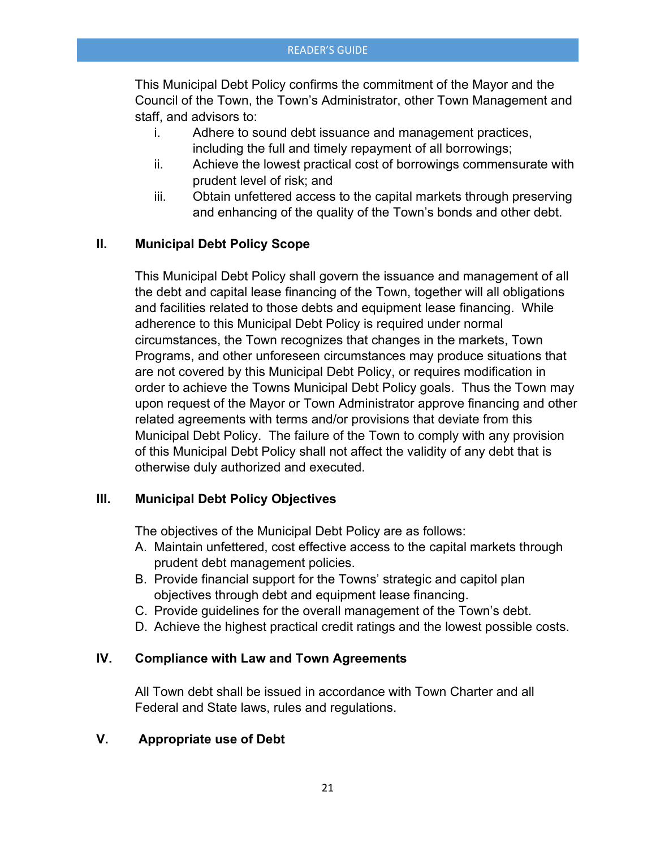This Municipal Debt Policy confirms the commitment of the Mayor and the Council of the Town, the Town's Administrator, other Town Management and staff, and advisors to:

- i. Adhere to sound debt issuance and management practices, including the full and timely repayment of all borrowings;
- ii. Achieve the lowest practical cost of borrowings commensurate with prudent level of risk; and
- iii. Obtain unfettered access to the capital markets through preserving and enhancing of the quality of the Town's bonds and other debt.

## **II. Municipal Debt Policy Scope**

This Municipal Debt Policy shall govern the issuance and management of all the debt and capital lease financing of the Town, together will all obligations and facilities related to those debts and equipment lease financing. While adherence to this Municipal Debt Policy is required under normal circumstances, the Town recognizes that changes in the markets, Town Programs, and other unforeseen circumstances may produce situations that are not covered by this Municipal Debt Policy, or requires modification in order to achieve the Towns Municipal Debt Policy goals. Thus the Town may upon request of the Mayor or Town Administrator approve financing and other related agreements with terms and/or provisions that deviate from this Municipal Debt Policy. The failure of the Town to comply with any provision of this Municipal Debt Policy shall not affect the validity of any debt that is otherwise duly authorized and executed.

## **III. Municipal Debt Policy Objectives**

The objectives of the Municipal Debt Policy are as follows:

- A. Maintain unfettered, cost effective access to the capital markets through prudent debt management policies.
- B. Provide financial support for the Towns' strategic and capitol plan objectives through debt and equipment lease financing.
- C. Provide guidelines for the overall management of the Town's debt.
- D. Achieve the highest practical credit ratings and the lowest possible costs.

#### **IV. Compliance with Law and Town Agreements**

All Town debt shall be issued in accordance with Town Charter and all Federal and State laws, rules and regulations.

## **V. Appropriate use of Debt**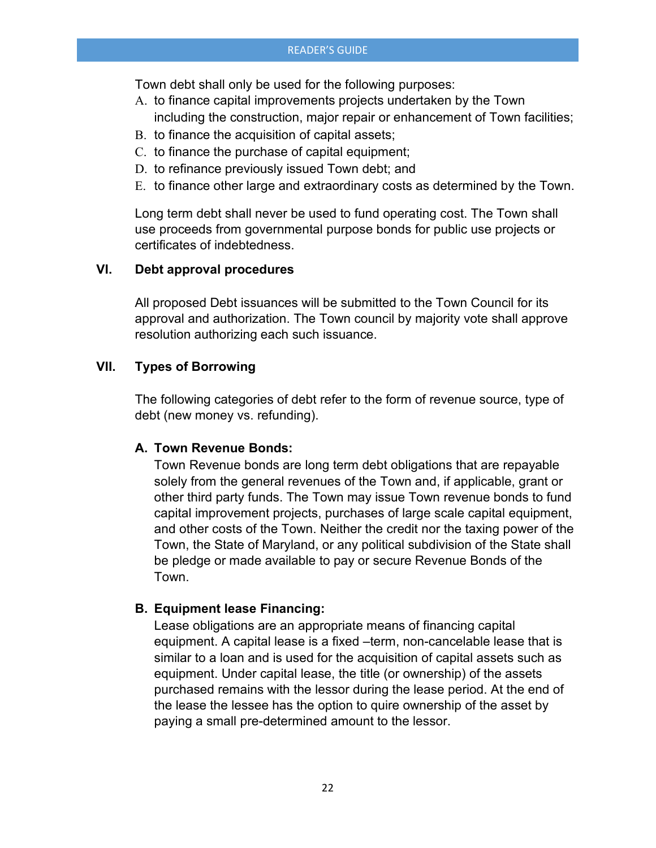Town debt shall only be used for the following purposes:

- A. to finance capital improvements projects undertaken by the Town
- including the construction, major repair or enhancement of Town facilities;
- B. to finance the acquisition of capital assets;
- C. to finance the purchase of capital equipment;
- D. to refinance previously issued Town debt; and
- E. to finance other large and extraordinary costs as determined by the Town.

Long term debt shall never be used to fund operating cost. The Town shall use proceeds from governmental purpose bonds for public use projects or certificates of indebtedness.

## **VI. Debt approval procedures**

All proposed Debt issuances will be submitted to the Town Council for its approval and authorization. The Town council by majority vote shall approve resolution authorizing each such issuance.

## **VII. Types of Borrowing**

The following categories of debt refer to the form of revenue source, type of debt (new money vs. refunding).

#### **A. Town Revenue Bonds:**

Town Revenue bonds are long term debt obligations that are repayable solely from the general revenues of the Town and, if applicable, grant or other third party funds. The Town may issue Town revenue bonds to fund capital improvement projects, purchases of large scale capital equipment, and other costs of the Town. Neither the credit nor the taxing power of the Town, the State of Maryland, or any political subdivision of the State shall be pledge or made available to pay or secure Revenue Bonds of the Town.

## **B. Equipment lease Financing:**

Lease obligations are an appropriate means of financing capital equipment. A capital lease is a fixed –term, non-cancelable lease that is similar to a loan and is used for the acquisition of capital assets such as equipment. Under capital lease, the title (or ownership) of the assets purchased remains with the lessor during the lease period. At the end of the lease the lessee has the option to quire ownership of the asset by paying a small pre-determined amount to the lessor.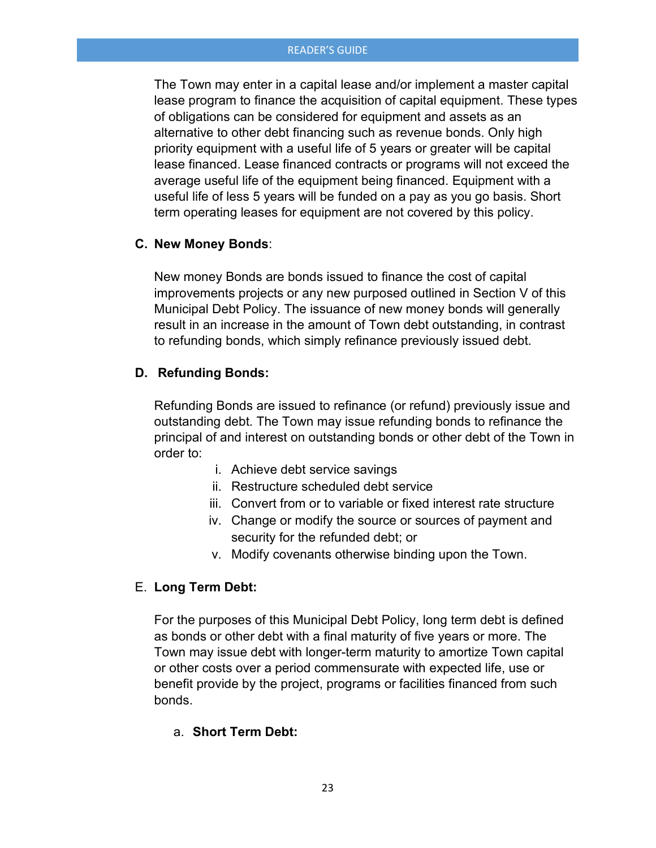The Town may enter in a capital lease and/or implement a master capital lease program to finance the acquisition of capital equipment. These types of obligations can be considered for equipment and assets as an alternative to other debt financing such as revenue bonds. Only high priority equipment with a useful life of 5 years or greater will be capital lease financed. Lease financed contracts or programs will not exceed the average useful life of the equipment being financed. Equipment with a useful life of less 5 years will be funded on a pay as you go basis. Short term operating leases for equipment are not covered by this policy.

#### **C. New Money Bonds**:

New money Bonds are bonds issued to finance the cost of capital improvements projects or any new purposed outlined in Section V of this Municipal Debt Policy. The issuance of new money bonds will generally result in an increase in the amount of Town debt outstanding, in contrast to refunding bonds, which simply refinance previously issued debt.

#### **D. Refunding Bonds:**

Refunding Bonds are issued to refinance (or refund) previously issue and outstanding debt. The Town may issue refunding bonds to refinance the principal of and interest on outstanding bonds or other debt of the Town in order to:

- i. Achieve debt service savings
- ii. Restructure scheduled debt service
- iii. Convert from or to variable or fixed interest rate structure
- iv. Change or modify the source or sources of payment and security for the refunded debt; or
- v. Modify covenants otherwise binding upon the Town.

#### E. **Long Term Debt:**

For the purposes of this Municipal Debt Policy, long term debt is defined as bonds or other debt with a final maturity of five years or more. The Town may issue debt with longer-term maturity to amortize Town capital or other costs over a period commensurate with expected life, use or benefit provide by the project, programs or facilities financed from such bonds.

#### a. **Short Term Debt:**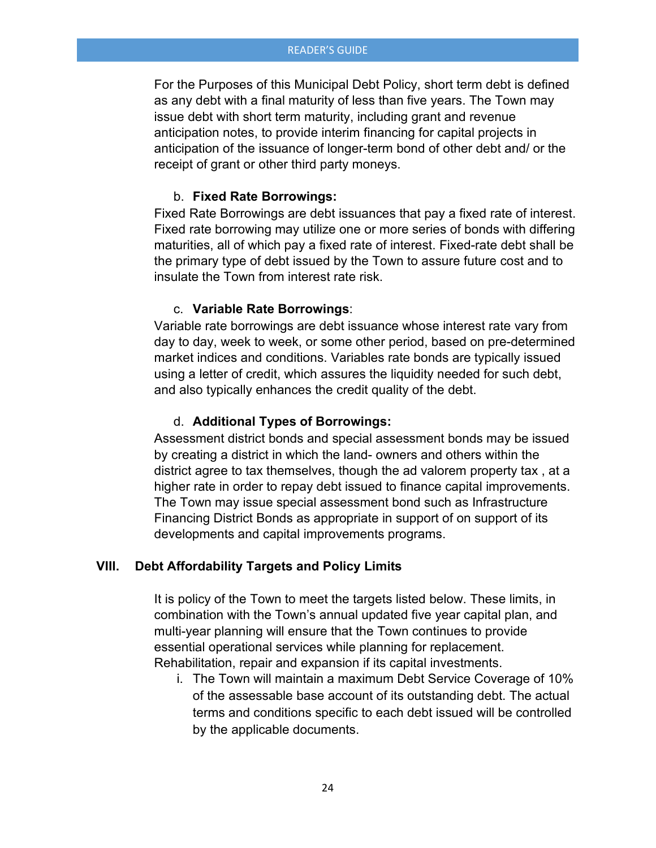For the Purposes of this Municipal Debt Policy, short term debt is defined as any debt with a final maturity of less than five years. The Town may issue debt with short term maturity, including grant and revenue anticipation notes, to provide interim financing for capital projects in anticipation of the issuance of longer-term bond of other debt and/ or the receipt of grant or other third party moneys.

#### b. **Fixed Rate Borrowings:**

Fixed Rate Borrowings are debt issuances that pay a fixed rate of interest. Fixed rate borrowing may utilize one or more series of bonds with differing maturities, all of which pay a fixed rate of interest. Fixed-rate debt shall be the primary type of debt issued by the Town to assure future cost and to insulate the Town from interest rate risk.

#### c. **Variable Rate Borrowings**:

Variable rate borrowings are debt issuance whose interest rate vary from day to day, week to week, or some other period, based on pre-determined market indices and conditions. Variables rate bonds are typically issued using a letter of credit, which assures the liquidity needed for such debt, and also typically enhances the credit quality of the debt.

#### d. **Additional Types of Borrowings:**

Assessment district bonds and special assessment bonds may be issued by creating a district in which the land- owners and others within the district agree to tax themselves, though the ad valorem property tax , at a higher rate in order to repay debt issued to finance capital improvements. The Town may issue special assessment bond such as Infrastructure Financing District Bonds as appropriate in support of on support of its developments and capital improvements programs.

#### **VIII. Debt Affordability Targets and Policy Limits**

It is policy of the Town to meet the targets listed below. These limits, in combination with the Town's annual updated five year capital plan, and multi-year planning will ensure that the Town continues to provide essential operational services while planning for replacement. Rehabilitation, repair and expansion if its capital investments.

i. The Town will maintain a maximum Debt Service Coverage of 10% of the assessable base account of its outstanding debt. The actual terms and conditions specific to each debt issued will be controlled by the applicable documents.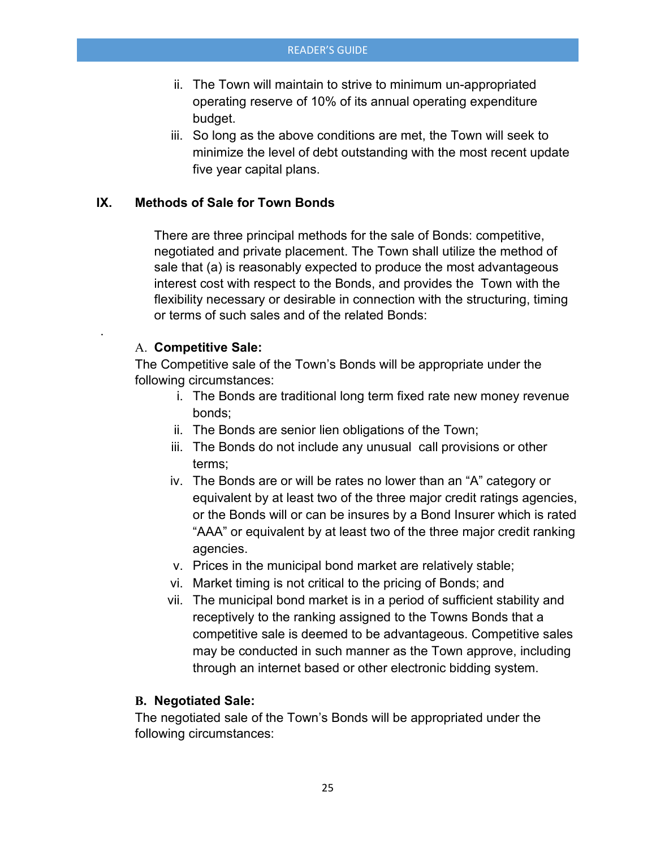- ii. The Town will maintain to strive to minimum un-appropriated operating reserve of 10% of its annual operating expenditure budget.
- iii. So long as the above conditions are met, the Town will seek to minimize the level of debt outstanding with the most recent update five year capital plans.

## **IX. Methods of Sale for Town Bonds**

There are three principal methods for the sale of Bonds: competitive, negotiated and private placement. The Town shall utilize the method of sale that (a) is reasonably expected to produce the most advantageous interest cost with respect to the Bonds, and provides the Town with the flexibility necessary or desirable in connection with the structuring, timing or terms of such sales and of the related Bonds:

#### A. **Competitive Sale:**

.

The Competitive sale of the Town's Bonds will be appropriate under the following circumstances:

- i. The Bonds are traditional long term fixed rate new money revenue bonds;
- ii. The Bonds are senior lien obligations of the Town;
- iii. The Bonds do not include any unusual call provisions or other terms;
- iv. The Bonds are or will be rates no lower than an "A" category or equivalent by at least two of the three major credit ratings agencies, or the Bonds will or can be insures by a Bond Insurer which is rated "AAA" or equivalent by at least two of the three major credit ranking agencies.
- v. Prices in the municipal bond market are relatively stable;
- vi. Market timing is not critical to the pricing of Bonds; and
- vii. The municipal bond market is in a period of sufficient stability and receptively to the ranking assigned to the Towns Bonds that a competitive sale is deemed to be advantageous. Competitive sales may be conducted in such manner as the Town approve, including through an internet based or other electronic bidding system.

#### **B. Negotiated Sale:**

The negotiated sale of the Town's Bonds will be appropriated under the following circumstances: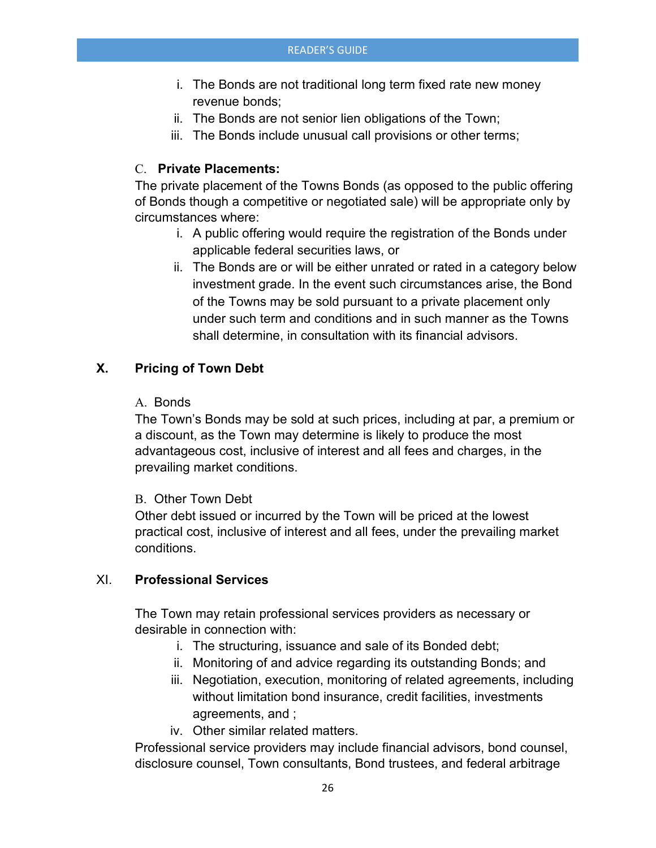- i. The Bonds are not traditional long term fixed rate new money revenue bonds;
- ii. The Bonds are not senior lien obligations of the Town;
- iii. The Bonds include unusual call provisions or other terms;

## C. **Private Placements:**

The private placement of the Towns Bonds (as opposed to the public offering of Bonds though a competitive or negotiated sale) will be appropriate only by circumstances where:

- i. A public offering would require the registration of the Bonds under applicable federal securities laws, or
- ii. The Bonds are or will be either unrated or rated in a category below investment grade. In the event such circumstances arise, the Bond of the Towns may be sold pursuant to a private placement only under such term and conditions and in such manner as the Towns shall determine, in consultation with its financial advisors.

## **X. Pricing of Town Debt**

#### A. Bonds

The Town's Bonds may be sold at such prices, including at par, a premium or a discount, as the Town may determine is likely to produce the most advantageous cost, inclusive of interest and all fees and charges, in the prevailing market conditions.

#### B. Other Town Debt

Other debt issued or incurred by the Town will be priced at the lowest practical cost, inclusive of interest and all fees, under the prevailing market conditions.

#### XI. **Professional Services**

The Town may retain professional services providers as necessary or desirable in connection with:

- i. The structuring, issuance and sale of its Bonded debt;
- ii. Monitoring of and advice regarding its outstanding Bonds; and
- iii. Negotiation, execution, monitoring of related agreements, including without limitation bond insurance, credit facilities, investments agreements, and ;
- iv. Other similar related matters.

Professional service providers may include financial advisors, bond counsel, disclosure counsel, Town consultants, Bond trustees, and federal arbitrage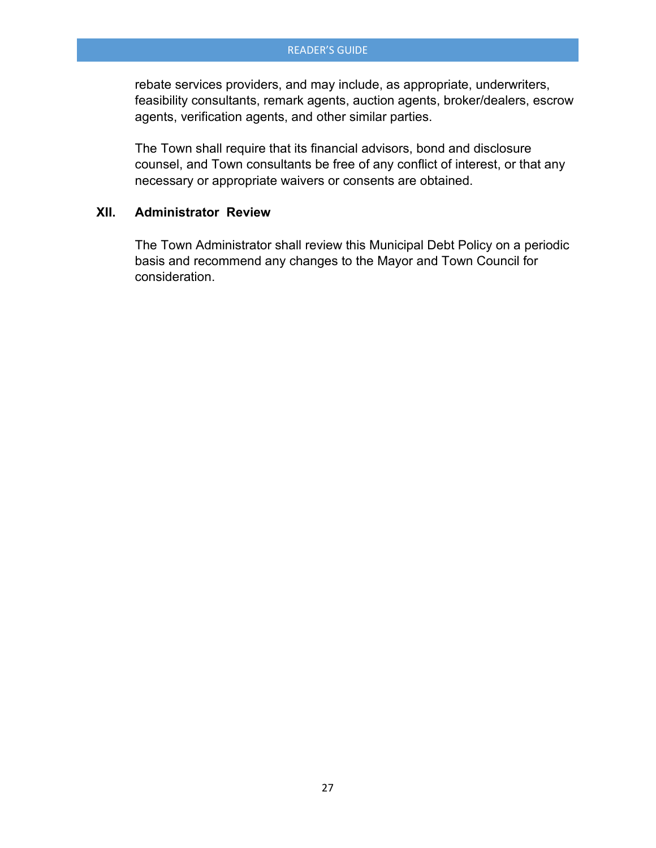rebate services providers, and may include, as appropriate, underwriters, feasibility consultants, remark agents, auction agents, broker/dealers, escrow agents, verification agents, and other similar parties.

The Town shall require that its financial advisors, bond and disclosure counsel, and Town consultants be free of any conflict of interest, or that any necessary or appropriate waivers or consents are obtained.

#### **XII. Administrator Review**

The Town Administrator shall review this Municipal Debt Policy on a periodic basis and recommend any changes to the Mayor and Town Council for consideration.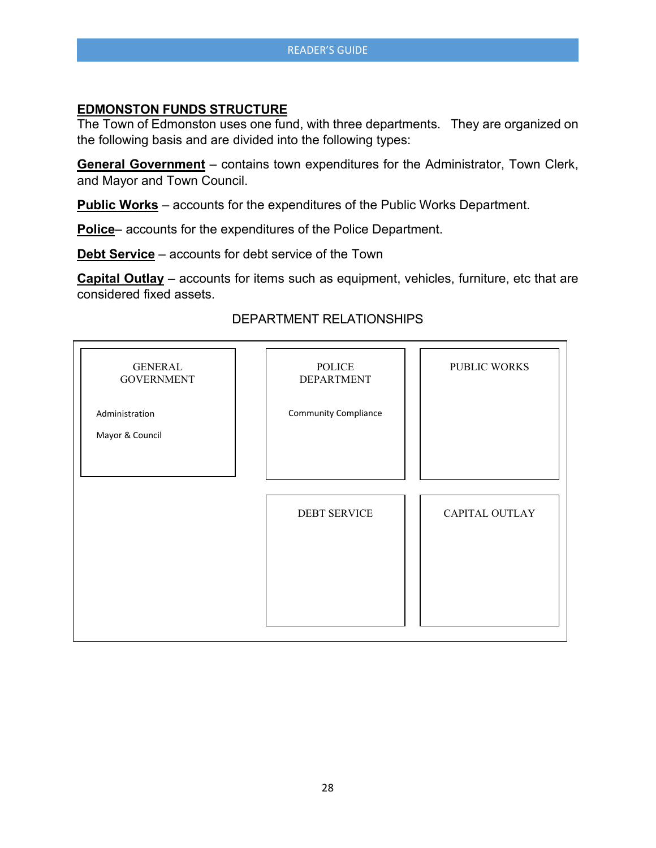## **EDMONSTON FUNDS STRUCTURE**

The Town of Edmonston uses one fund, with three departments. They are organized on the following basis and are divided into the following types:

**General Government** – contains town expenditures for the Administrator, Town Clerk, and Mayor and Town Council.

**Public Works** – accounts for the expenditures of the Public Works Department.

**Police**– accounts for the expenditures of the Police Department.

**Debt Service** – accounts for debt service of the Town

**Capital Outlay** – accounts for items such as equipment, vehicles, furniture, etc that are considered fixed assets.

## DEPARTMENT RELATIONSHIPS

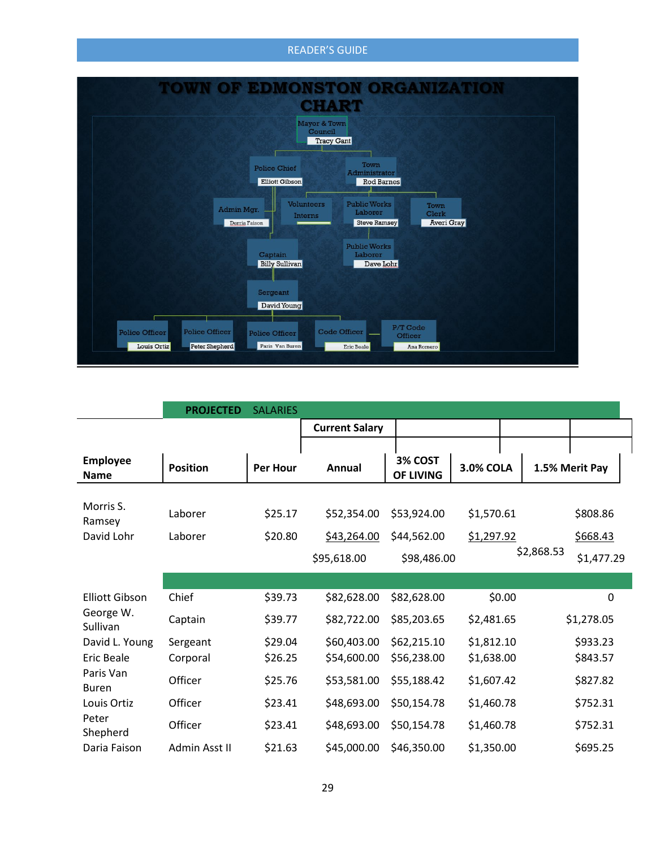

|                                | <b>PROJECTED</b> | <b>SALARIES</b> |                       |                      |                  |            |                |
|--------------------------------|------------------|-----------------|-----------------------|----------------------|------------------|------------|----------------|
|                                |                  |                 | <b>Current Salary</b> |                      |                  |            |                |
|                                |                  |                 |                       |                      |                  |            |                |
| <b>Employee</b><br><b>Name</b> | <b>Position</b>  | <b>Per Hour</b> | Annual                | 3% COST<br>OF LIVING | <b>3.0% COLA</b> |            | 1.5% Merit Pay |
|                                |                  |                 |                       |                      |                  |            |                |
| Morris S.<br>Ramsey            | Laborer          | \$25.17         | \$52,354.00           | \$53,924.00          | \$1,570.61       |            | \$808.86       |
| David Lohr                     | Laborer          | \$20.80         | \$43,264.00           | \$44,562.00          | \$1,297.92       |            | \$668.43       |
|                                |                  |                 | \$95,618.00           | \$98,486.00          |                  | \$2,868.53 | \$1,477.29     |
|                                |                  |                 |                       |                      |                  |            |                |
| <b>Elliott Gibson</b>          | Chief            | \$39.73         | \$82,628.00           | \$82,628.00          |                  | \$0.00     | 0              |
| George W.<br>Sullivan          | Captain          | \$39.77         | \$82,722.00           | \$85,203.65          | \$2,481.65       |            | \$1,278.05     |
| David L. Young                 | Sergeant         | \$29.04         | \$60,403.00           | \$62,215.10          | \$1,812.10       |            | \$933.23       |
| Eric Beale                     | Corporal         | \$26.25         | \$54,600.00           | \$56,238.00          | \$1,638.00       |            | \$843.57       |
| Paris Van<br><b>Buren</b>      | Officer          | \$25.76         | \$53,581.00           | \$55,188.42          | \$1,607.42       |            | \$827.82       |
| Louis Ortiz                    | Officer          | \$23.41         | \$48,693.00           | \$50,154.78          | \$1,460.78       |            | \$752.31       |
| Peter<br>Shepherd              | Officer          | \$23.41         | \$48,693.00           | \$50,154.78          | \$1,460.78       |            | \$752.31       |
| Daria Faison                   | Admin Asst II    | \$21.63         | \$45,000.00           | \$46,350.00          | \$1,350.00       |            | \$695.25       |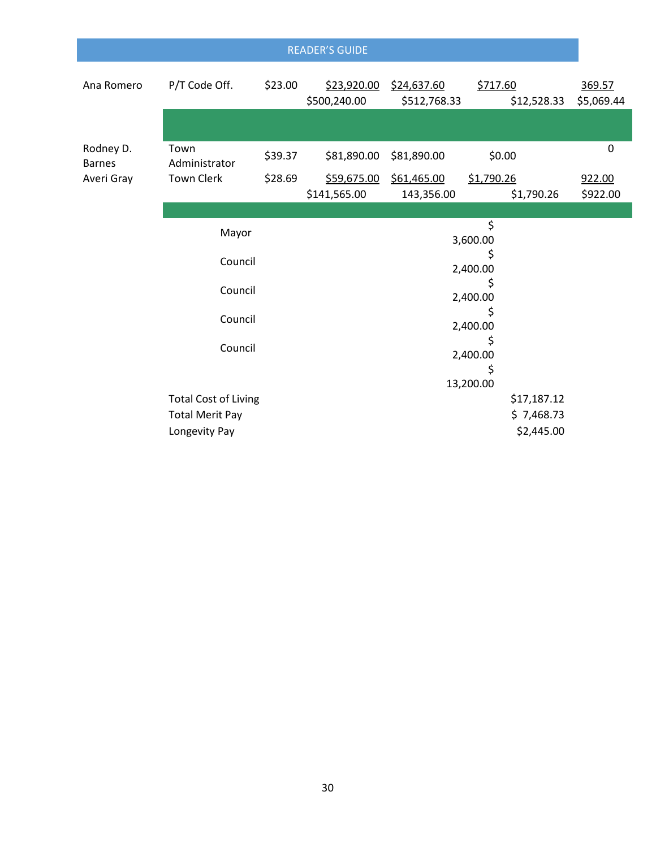|                            |                             |         | <b>READER'S GUIDE</b>       |                             |                         |                      |  |  |
|----------------------------|-----------------------------|---------|-----------------------------|-----------------------------|-------------------------|----------------------|--|--|
| Ana Romero                 | P/T Code Off.               | \$23.00 | \$23,920.00<br>\$500,240.00 | \$24,637.60<br>\$512,768.33 | \$717.60<br>\$12,528.33 | 369.57<br>\$5,069.44 |  |  |
|                            |                             |         |                             |                             |                         |                      |  |  |
| Rodney D.<br><b>Barnes</b> | Town<br>Administrator       | \$39.37 | \$81,890.00                 | \$81,890.00                 | \$0.00                  | $\mathbf 0$          |  |  |
| Averi Gray                 | <b>Town Clerk</b>           | \$28.69 | \$59,675.00                 | \$61,465.00                 | \$1,790.26              | 922.00               |  |  |
|                            |                             |         | \$141,565.00                | 143,356.00                  | \$1,790.26              | \$922.00             |  |  |
|                            |                             |         |                             |                             |                         |                      |  |  |
| Mayor                      |                             |         | \$<br>3,600.00              |                             |                         |                      |  |  |
|                            |                             |         | \$                          |                             |                         |                      |  |  |
|                            | Council                     |         | 2,400.00                    |                             |                         |                      |  |  |
|                            | Council                     |         |                             |                             |                         |                      |  |  |
|                            |                             |         | 2,400.00                    |                             |                         |                      |  |  |
|                            | Council                     |         |                             |                             | 2,400.00                |                      |  |  |
|                            |                             |         |                             |                             | \$                      |                      |  |  |
|                            | Council                     |         |                             |                             | 2,400.00                |                      |  |  |
|                            |                             |         |                             |                             | \$                      |                      |  |  |
|                            |                             |         |                             |                             | 13,200.00               |                      |  |  |
|                            | <b>Total Cost of Living</b> |         |                             |                             | \$17,187.12             |                      |  |  |
|                            | <b>Total Merit Pay</b>      |         |                             |                             | \$7,468.73              |                      |  |  |
|                            | Longevity Pay               |         |                             | \$2,445.00                  |                         |                      |  |  |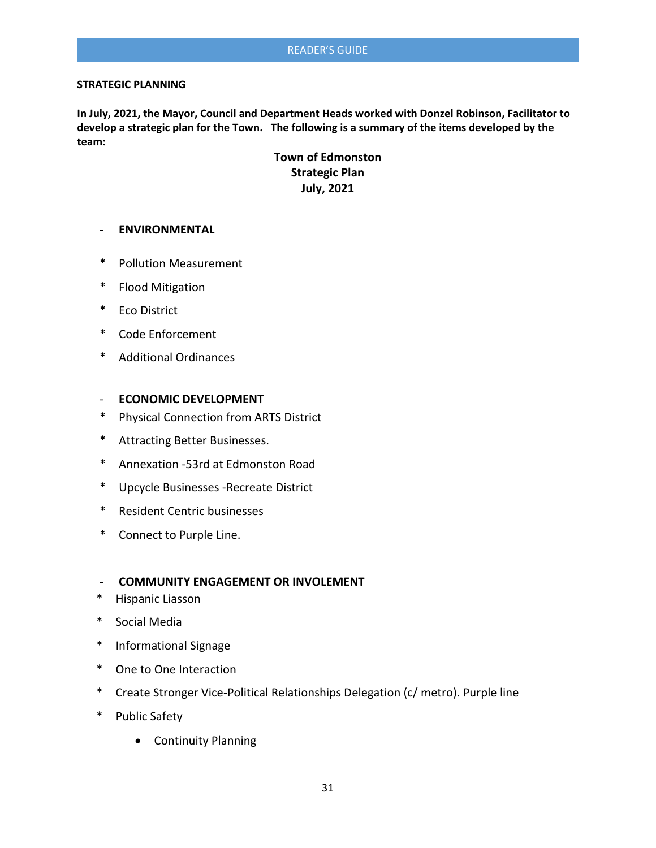#### **STRATEGIC PLANNING**

**In July, 2021, the Mayor, Council and Department Heads worked with Donzel Robinson, Facilitator to develop a strategic plan for the Town. The following is a summary of the items developed by the team:**

> **Town of Edmonston Strategic Plan July, 2021**

#### - **ENVIRONMENTAL**

- \* Pollution Measurement
- \* Flood Mitigation
- \* Eco District
- \* Code Enforcement
- \* Additional Ordinances

#### - **ECONOMIC DEVELOPMENT**

- \* Physical Connection from ARTS District
- \* Attracting Better Businesses.
- \* Annexation -53rd at Edmonston Road
- \* Upcycle Businesses -Recreate District
- \* Resident Centric businesses
- \* Connect to Purple Line.

#### - **COMMUNITY ENGAGEMENT OR INVOLEMENT**

- \* Hispanic Liasson
- \* Social Media
- \* Informational Signage
- \* One to One Interaction
- \* Create Stronger Vice-Political Relationships Delegation (c/ metro). Purple line
- \* Public Safety
	- Continuity Planning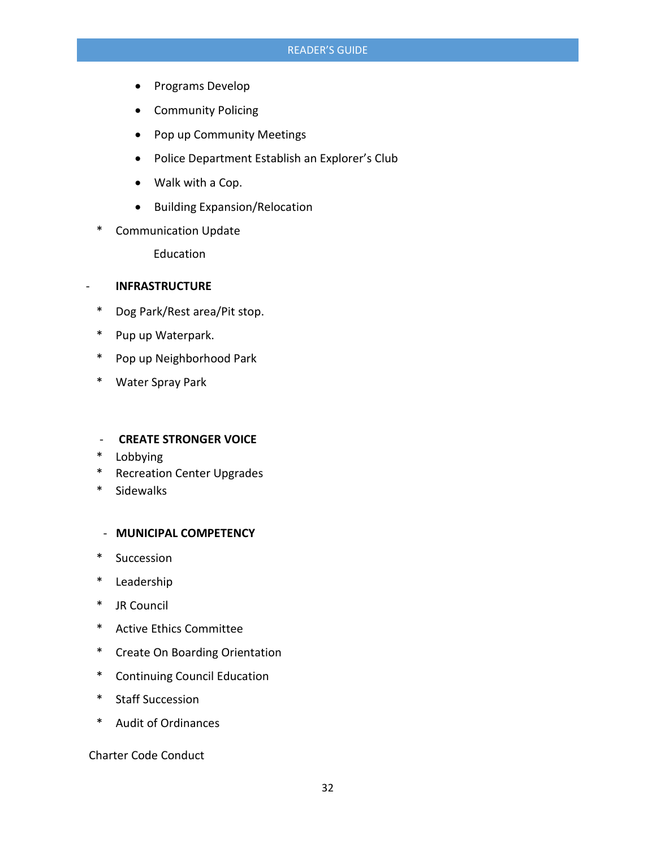- Programs Develop
- Community Policing
- Pop up Community Meetings
- Police Department Establish an Explorer's Club
- Walk with a Cop.
- Building Expansion/Relocation
- \* Communication Update

Education

#### - **INFRASTRUCTURE**

- \* Dog Park/Rest area/Pit stop.
- \* Pup up Waterpark.
- \* Pop up Neighborhood Park
- \* Water Spray Park

#### - **CREATE STRONGER VOICE**

- \* Lobbying
- \* Recreation Center Upgrades
- \* Sidewalks

#### - **MUNICIPAL COMPETENCY**

- \* Succession
- \* Leadership
- \* JR Council
- \* Active Ethics Committee
- \* Create On Boarding Orientation
- \* Continuing Council Education
- \* Staff Succession
- \* Audit of Ordinances

Charter Code Conduct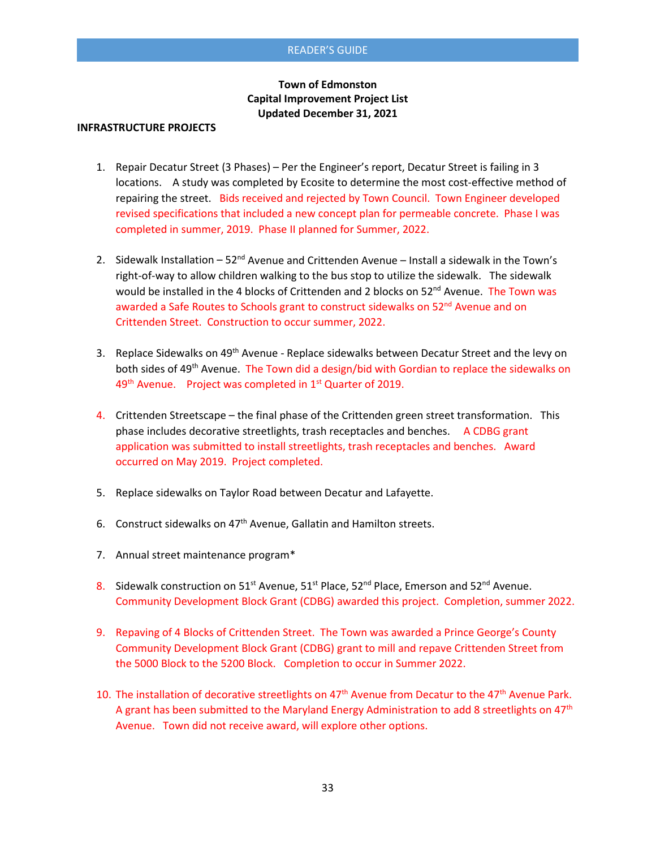#### **Town of Edmonston Capital Improvement Project List Updated December 31, 2021**

#### **INFRASTRUCTURE PROJECTS**

- 1. Repair Decatur Street (3 Phases) Per the Engineer's report, Decatur Street is failing in 3 locations. A study was completed by Ecosite to determine the most cost-effective method of repairing the street. Bids received and rejected by Town Council. Town Engineer developed revised specifications that included a new concept plan for permeable concrete. Phase I was completed in summer, 2019. Phase II planned for Summer, 2022.
- 2. Sidewalk Installation  $-52<sup>nd</sup>$  Avenue and Crittenden Avenue Install a sidewalk in the Town's right-of-way to allow children walking to the bus stop to utilize the sidewalk. The sidewalk would be installed in the 4 blocks of Crittenden and 2 blocks on 52<sup>nd</sup> Avenue. The Town was awarded a Safe Routes to Schools grant to construct sidewalks on 52<sup>nd</sup> Avenue and on Crittenden Street. Construction to occur summer, 2022.
- 3. Replace Sidewalks on 49<sup>th</sup> Avenue Replace sidewalks between Decatur Street and the levy on both sides of 49<sup>th</sup> Avenue. The Town did a design/bid with Gordian to replace the sidewalks on 49<sup>th</sup> Avenue. Project was completed in 1<sup>st</sup> Quarter of 2019.
- 4. Crittenden Streetscape the final phase of the Crittenden green street transformation. This phase includes decorative streetlights, trash receptacles and benches. A CDBG grant application was submitted to install streetlights, trash receptacles and benches. Award occurred on May 2019. Project completed.
- 5. Replace sidewalks on Taylor Road between Decatur and Lafayette.
- 6. Construct sidewalks on  $47<sup>th</sup>$  Avenue, Gallatin and Hamilton streets.
- 7. Annual street maintenance program\*
- 8. Sidewalk construction on  $51^{st}$  Avenue,  $51^{st}$  Place, 52<sup>nd</sup> Place, Emerson and  $52^{nd}$  Avenue. Community Development Block Grant (CDBG) awarded this project. Completion, summer 2022.
- 9. Repaving of 4 Blocks of Crittenden Street. The Town was awarded a Prince George's County Community Development Block Grant (CDBG) grant to mill and repave Crittenden Street from the 5000 Block to the 5200 Block. Completion to occur in Summer 2022.
- 10. The installation of decorative streetlights on 47<sup>th</sup> Avenue from Decatur to the 47<sup>th</sup> Avenue Park. A grant has been submitted to the Maryland Energy Administration to add 8 streetlights on 47<sup>th</sup> Avenue. Town did not receive award, will explore other options.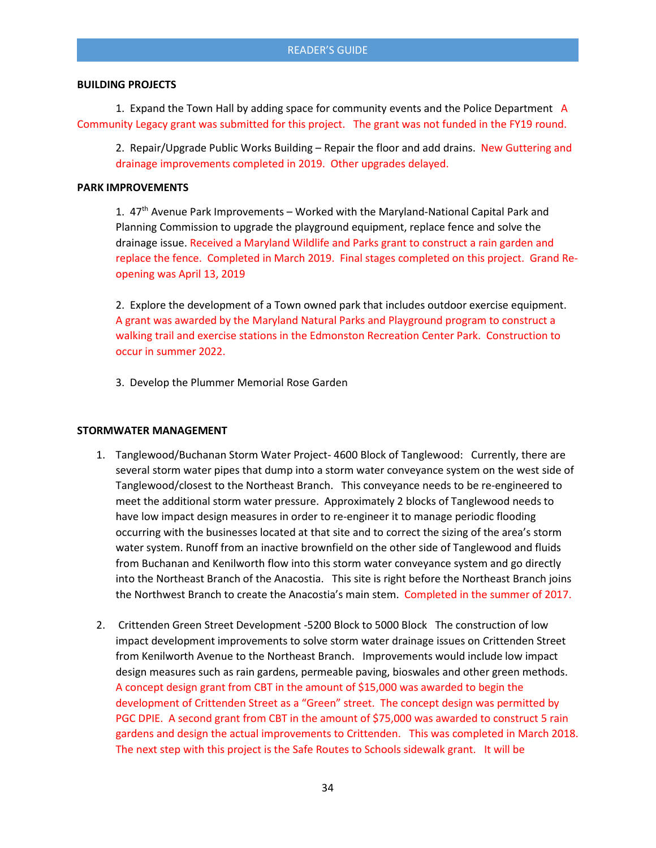#### **BUILDING PROJECTS**

1. Expand the Town Hall by adding space for community events and the Police Department A Community Legacy grant was submitted for this project. The grant was not funded in the FY19 round.

2. Repair/Upgrade Public Works Building – Repair the floor and add drains. New Guttering and drainage improvements completed in 2019. Other upgrades delayed.

#### **PARK IMPROVEMENTS**

1. 47<sup>th</sup> Avenue Park Improvements - Worked with the Maryland-National Capital Park and Planning Commission to upgrade the playground equipment, replace fence and solve the drainage issue. Received a Maryland Wildlife and Parks grant to construct a rain garden and replace the fence. Completed in March 2019. Final stages completed on this project. Grand Reopening was April 13, 2019

2. Explore the development of a Town owned park that includes outdoor exercise equipment. A grant was awarded by the Maryland Natural Parks and Playground program to construct a walking trail and exercise stations in the Edmonston Recreation Center Park. Construction to occur in summer 2022.

3. Develop the Plummer Memorial Rose Garden

#### **STORMWATER MANAGEMENT**

- 1. Tanglewood/Buchanan Storm Water Project- 4600 Block of Tanglewood: Currently, there are several storm water pipes that dump into a storm water conveyance system on the west side of Tanglewood/closest to the Northeast Branch. This conveyance needs to be re-engineered to meet the additional storm water pressure. Approximately 2 blocks of Tanglewood needs to have low impact design measures in order to re-engineer it to manage periodic flooding occurring with the businesses located at that site and to correct the sizing of the area's storm water system. Runoff from an inactive brownfield on the other side of Tanglewood and fluids from Buchanan and Kenilworth flow into this storm water conveyance system and go directly into the Northeast Branch of the Anacostia. This site is right before the Northeast Branch joins the Northwest Branch to create the Anacostia's main stem. Completed in the summer of 2017.
- 2. Crittenden Green Street Development -5200 Block to 5000 Block The construction of low impact development improvements to solve storm water drainage issues on Crittenden Street from Kenilworth Avenue to the Northeast Branch. Improvements would include low impact design measures such as rain gardens, permeable paving, bioswales and other green methods. A concept design grant from CBT in the amount of \$15,000 was awarded to begin the development of Crittenden Street as a "Green" street. The concept design was permitted by PGC DPIE. A second grant from CBT in the amount of \$75,000 was awarded to construct 5 rain gardens and design the actual improvements to Crittenden. This was completed in March 2018. The next step with this project is the Safe Routes to Schools sidewalk grant. It will be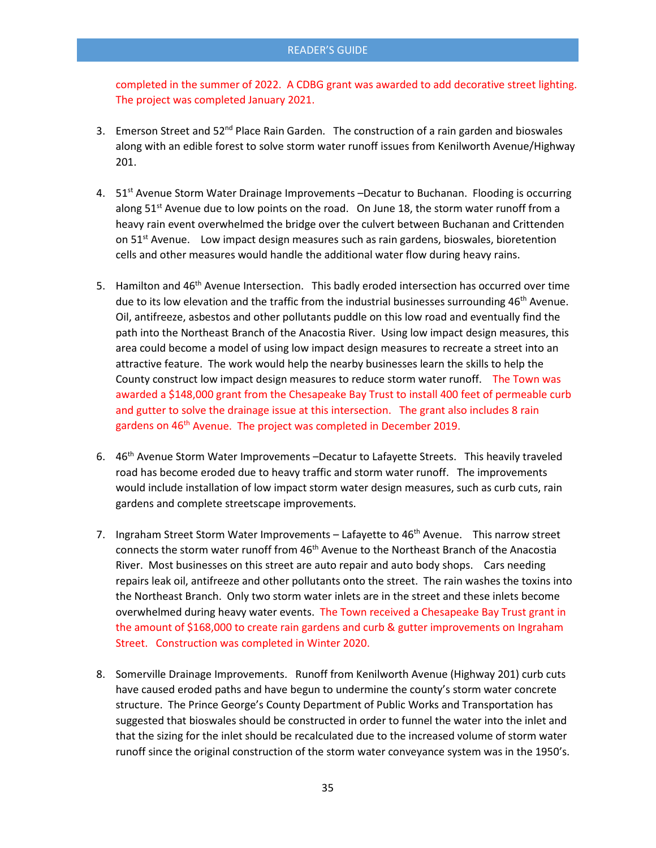completed in the summer of 2022. A CDBG grant was awarded to add decorative street lighting. The project was completed January 2021.

- 3. Emerson Street and  $52^{nd}$  Place Rain Garden. The construction of a rain garden and bioswales along with an edible forest to solve storm water runoff issues from Kenilworth Avenue/Highway 201.
- 4. 51<sup>st</sup> Avenue Storm Water Drainage Improvements –Decatur to Buchanan. Flooding is occurring along  $51^{st}$  Avenue due to low points on the road. On June 18, the storm water runoff from a heavy rain event overwhelmed the bridge over the culvert between Buchanan and Crittenden on  $51<sup>st</sup>$  Avenue. Low impact design measures such as rain gardens, bioswales, bioretention cells and other measures would handle the additional water flow during heavy rains.
- 5. Hamilton and 46<sup>th</sup> Avenue Intersection. This badly eroded intersection has occurred over time due to its low elevation and the traffic from the industrial businesses surrounding  $46<sup>th</sup>$  Avenue. Oil, antifreeze, asbestos and other pollutants puddle on this low road and eventually find the path into the Northeast Branch of the Anacostia River. Using low impact design measures, this area could become a model of using low impact design measures to recreate a street into an attractive feature. The work would help the nearby businesses learn the skills to help the County construct low impact design measures to reduce storm water runoff. The Town was awarded a \$148,000 grant from the Chesapeake Bay Trust to install 400 feet of permeable curb and gutter to solve the drainage issue at this intersection. The grant also includes 8 rain gardens on 46<sup>th</sup> Avenue. The project was completed in December 2019.
- 6. 46th Avenue Storm Water Improvements –Decatur to Lafayette Streets. This heavily traveled road has become eroded due to heavy traffic and storm water runoff. The improvements would include installation of low impact storm water design measures, such as curb cuts, rain gardens and complete streetscape improvements.
- 7. Ingraham Street Storm Water Improvements Lafayette to 46<sup>th</sup> Avenue. This narrow street connects the storm water runoff from 46<sup>th</sup> Avenue to the Northeast Branch of the Anacostia River. Most businesses on this street are auto repair and auto body shops. Cars needing repairs leak oil, antifreeze and other pollutants onto the street. The rain washes the toxins into the Northeast Branch. Only two storm water inlets are in the street and these inlets become overwhelmed during heavy water events. The Town received a Chesapeake Bay Trust grant in the amount of \$168,000 to create rain gardens and curb & gutter improvements on Ingraham Street. Construction was completed in Winter 2020.
- 8. Somerville Drainage Improvements. Runoff from Kenilworth Avenue (Highway 201) curb cuts have caused eroded paths and have begun to undermine the county's storm water concrete structure. The Prince George's County Department of Public Works and Transportation has suggested that bioswales should be constructed in order to funnel the water into the inlet and that the sizing for the inlet should be recalculated due to the increased volume of storm water runoff since the original construction of the storm water conveyance system was in the 1950's.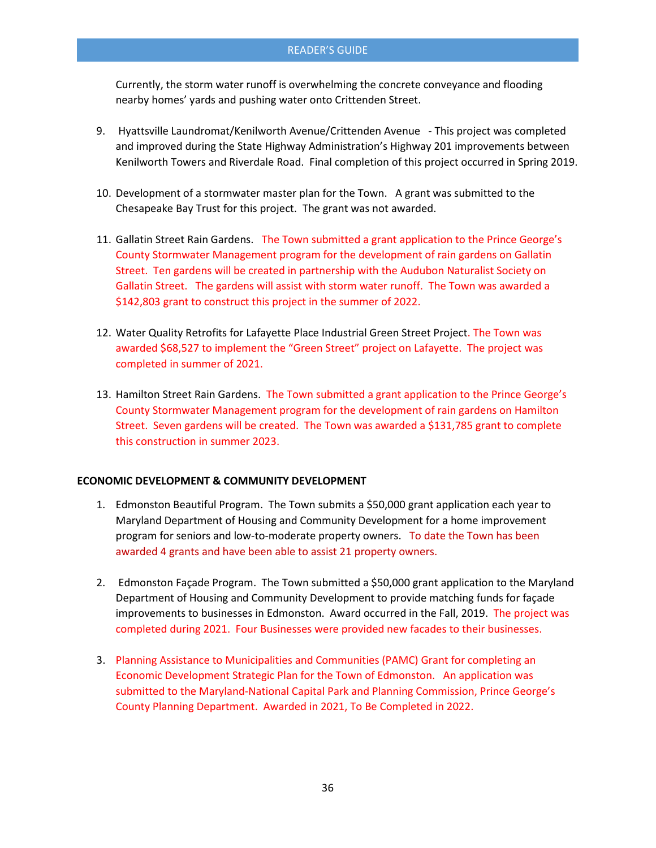Currently, the storm water runoff is overwhelming the concrete conveyance and flooding nearby homes' yards and pushing water onto Crittenden Street.

- 9. Hyattsville Laundromat/Kenilworth Avenue/Crittenden Avenue This project was completed and improved during the State Highway Administration's Highway 201 improvements between Kenilworth Towers and Riverdale Road. Final completion of this project occurred in Spring 2019.
- 10. Development of a stormwater master plan for the Town. A grant was submitted to the Chesapeake Bay Trust for this project. The grant was not awarded.
- 11. Gallatin Street Rain Gardens. The Town submitted a grant application to the Prince George's County Stormwater Management program for the development of rain gardens on Gallatin Street. Ten gardens will be created in partnership with the Audubon Naturalist Society on Gallatin Street. The gardens will assist with storm water runoff. The Town was awarded a \$142,803 grant to construct this project in the summer of 2022.
- 12. Water Quality Retrofits for Lafayette Place Industrial Green Street Project. The Town was awarded \$68,527 to implement the "Green Street" project on Lafayette. The project was completed in summer of 2021.
- 13. Hamilton Street Rain Gardens. The Town submitted a grant application to the Prince George's County Stormwater Management program for the development of rain gardens on Hamilton Street. Seven gardens will be created. The Town was awarded a \$131,785 grant to complete this construction in summer 2023.

#### **ECONOMIC DEVELOPMENT & COMMUNITY DEVELOPMENT**

- 1. Edmonston Beautiful Program. The Town submits a \$50,000 grant application each year to Maryland Department of Housing and Community Development for a home improvement program for seniors and low-to-moderate property owners. To date the Town has been awarded 4 grants and have been able to assist 21 property owners.
- 2. Edmonston Façade Program. The Town submitted a \$50,000 grant application to the Maryland Department of Housing and Community Development to provide matching funds for façade improvements to businesses in Edmonston. Award occurred in the Fall, 2019. The project was completed during 2021. Four Businesses were provided new facades to their businesses.
- 3. Planning Assistance to Municipalities and Communities (PAMC) Grant for completing an Economic Development Strategic Plan for the Town of Edmonston. An application was submitted to the Maryland-National Capital Park and Planning Commission, Prince George's County Planning Department. Awarded in 2021, To Be Completed in 2022.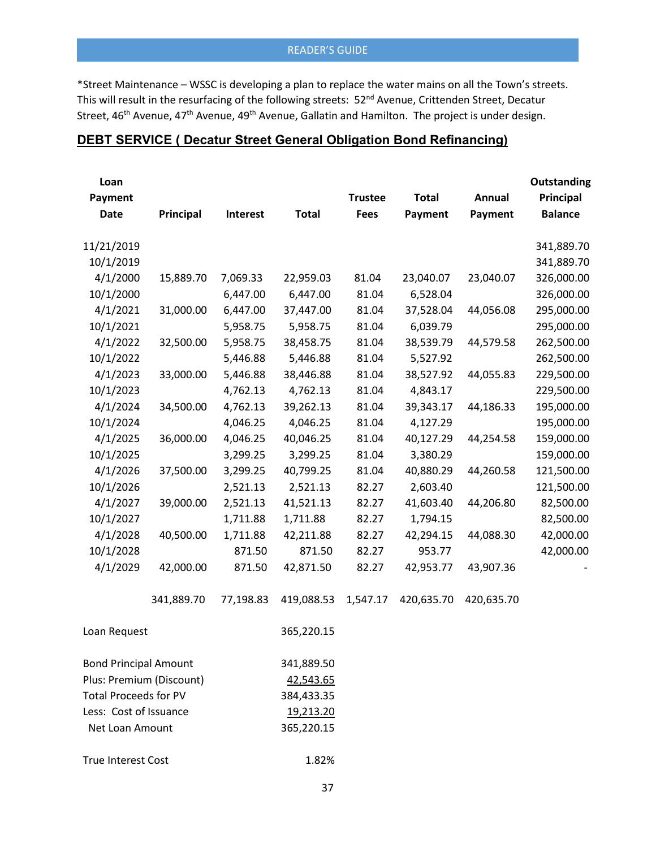\*Street Maintenance – WSSC is developing a plan to replace the water mains on all the Town's streets. This will result in the resurfacing of the following streets: 52<sup>nd</sup> Avenue, Crittenden Street, Decatur Street, 46<sup>th</sup> Avenue, 47<sup>th</sup> Avenue, 49<sup>th</sup> Avenue, Gallatin and Hamilton. The project is under design.

# **DEBT SERVICE ( Decatur Street General Obligation Bond Refinancing)**

| Loan                         |            |           |              |                |              |            | Outstanding    |
|------------------------------|------------|-----------|--------------|----------------|--------------|------------|----------------|
| Payment                      |            |           |              | <b>Trustee</b> | <b>Total</b> | Annual     | Principal      |
| <b>Date</b>                  | Principal  | Interest  | <b>Total</b> | <b>Fees</b>    | Payment      | Payment    | <b>Balance</b> |
| 11/21/2019                   |            |           |              |                |              |            | 341,889.70     |
| 10/1/2019                    |            |           |              |                |              |            | 341,889.70     |
| 4/1/2000                     | 15,889.70  | 7,069.33  | 22,959.03    | 81.04          | 23,040.07    | 23,040.07  | 326,000.00     |
| 10/1/2000                    |            | 6,447.00  | 6,447.00     | 81.04          | 6,528.04     |            | 326,000.00     |
| 4/1/2021                     | 31,000.00  | 6,447.00  | 37,447.00    | 81.04          | 37,528.04    | 44,056.08  | 295,000.00     |
| 10/1/2021                    |            | 5,958.75  | 5,958.75     | 81.04          | 6,039.79     |            | 295,000.00     |
| 4/1/2022                     | 32,500.00  | 5,958.75  | 38,458.75    | 81.04          | 38,539.79    | 44,579.58  | 262,500.00     |
| 10/1/2022                    |            | 5,446.88  | 5,446.88     | 81.04          | 5,527.92     |            | 262,500.00     |
| 4/1/2023                     | 33,000.00  | 5,446.88  | 38,446.88    | 81.04          | 38,527.92    | 44,055.83  | 229,500.00     |
| 10/1/2023                    |            | 4,762.13  | 4,762.13     | 81.04          | 4,843.17     |            | 229,500.00     |
| 4/1/2024                     | 34,500.00  | 4,762.13  | 39,262.13    | 81.04          | 39,343.17    | 44,186.33  | 195,000.00     |
| 10/1/2024                    |            | 4,046.25  | 4,046.25     | 81.04          | 4,127.29     |            | 195,000.00     |
| 4/1/2025                     | 36,000.00  | 4,046.25  | 40,046.25    | 81.04          | 40,127.29    | 44,254.58  | 159,000.00     |
| 10/1/2025                    |            | 3,299.25  | 3,299.25     | 81.04          | 3,380.29     |            | 159,000.00     |
| 4/1/2026                     | 37,500.00  | 3,299.25  | 40,799.25    | 81.04          | 40,880.29    | 44,260.58  | 121,500.00     |
| 10/1/2026                    |            | 2,521.13  | 2,521.13     | 82.27          | 2,603.40     |            | 121,500.00     |
| 4/1/2027                     | 39,000.00  | 2,521.13  | 41,521.13    | 82.27          | 41,603.40    | 44,206.80  | 82,500.00      |
| 10/1/2027                    |            | 1,711.88  | 1,711.88     | 82.27          | 1,794.15     |            | 82,500.00      |
| 4/1/2028                     | 40,500.00  | 1,711.88  | 42,211.88    | 82.27          | 42,294.15    | 44,088.30  | 42,000.00      |
| 10/1/2028                    |            | 871.50    | 871.50       | 82.27          | 953.77       |            | 42,000.00      |
| 4/1/2029                     | 42,000.00  | 871.50    | 42,871.50    | 82.27          | 42,953.77    | 43,907.36  |                |
|                              | 341,889.70 | 77,198.83 | 419,088.53   | 1,547.17       | 420,635.70   | 420,635.70 |                |
| Loan Request                 |            |           | 365,220.15   |                |              |            |                |
| <b>Bond Principal Amount</b> |            |           | 341,889.50   |                |              |            |                |
| Plus: Premium (Discount)     |            |           | 42,543.65    |                |              |            |                |
| <b>Total Proceeds for PV</b> |            |           | 384,433.35   |                |              |            |                |
| Less: Cost of Issuance       |            |           | 19,213.20    |                |              |            |                |
| Net Loan Amount              |            |           | 365,220.15   |                |              |            |                |
| <b>True Interest Cost</b>    |            |           | 1.82%        |                |              |            |                |

37

#### READER'S GUIDE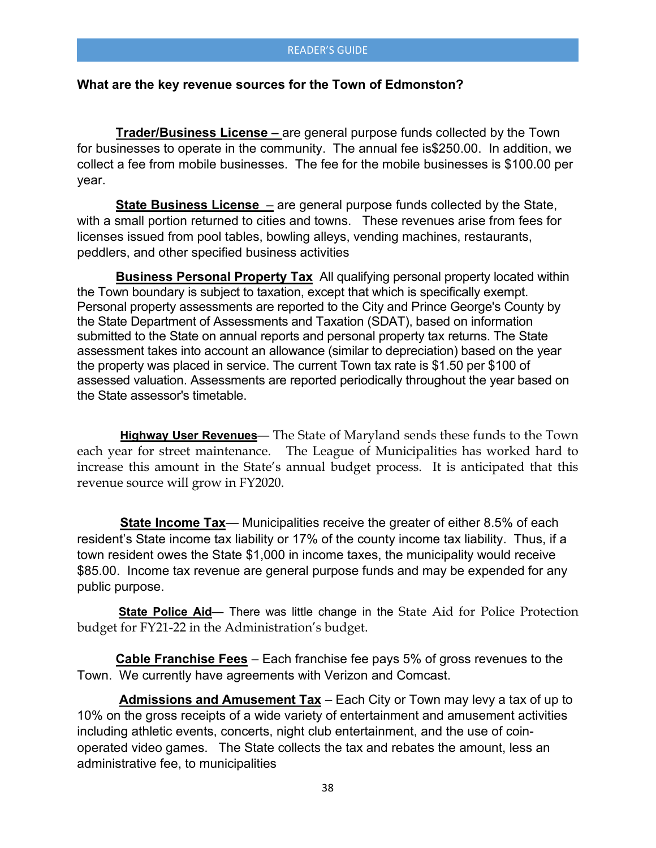#### **What are the key revenue sources for the Town of Edmonston?**

**Trader/Business License –** are general purpose funds collected by the Town for businesses to operate in the community. The annual fee is\$250.00. In addition, we collect a fee from mobile businesses. The fee for the mobile businesses is \$100.00 per year.

**State Business License** – are general purpose funds collected by the State, with a small portion returned to cities and towns. These revenues arise from fees for licenses issued from pool tables, bowling alleys, vending machines, restaurants, peddlers, and other specified business activities

**Business Personal Property Tax** All qualifying personal property located within the Town boundary is subject to taxation, except that which is specifically exempt. Personal property assessments are reported to the City and Prince George's County by the State Department of Assessments and Taxation (SDAT), based on information submitted to the State on annual reports and personal property tax returns. The State assessment takes into account an allowance (similar to depreciation) based on the year the property was placed in service. The current Town tax rate is \$1.50 per \$100 of assessed valuation. Assessments are reported periodically throughout the year based on the State assessor's timetable.

 **Highway User Revenues**— The State of Maryland sends these funds to the Town each year for street maintenance. The League of Municipalities has worked hard to increase this amount in the State's annual budget process. It is anticipated that this revenue source will grow in FY2020.

 **State Income Tax**— Municipalities receive the greater of either 8.5% of each resident's State income tax liability or 17% of the county income tax liability. Thus, if a town resident owes the State \$1,000 in income taxes, the municipality would receive \$85.00. Income tax revenue are general purpose funds and may be expended for any public purpose.

**State Police Aid**— There was little change in the State Aid for Police Protection budget for FY21-22 in the Administration's budget.

**Cable Franchise Fees** – Each franchise fee pays 5% of gross revenues to the Town. We currently have agreements with Verizon and Comcast.

 **Admissions and Amusement Tax** – Each City or Town may levy a tax of up to 10% on the gross receipts of a wide variety of entertainment and amusement activities including athletic events, concerts, night club entertainment, and the use of coinoperated video games. The State collects the tax and rebates the amount, less an administrative fee, to municipalities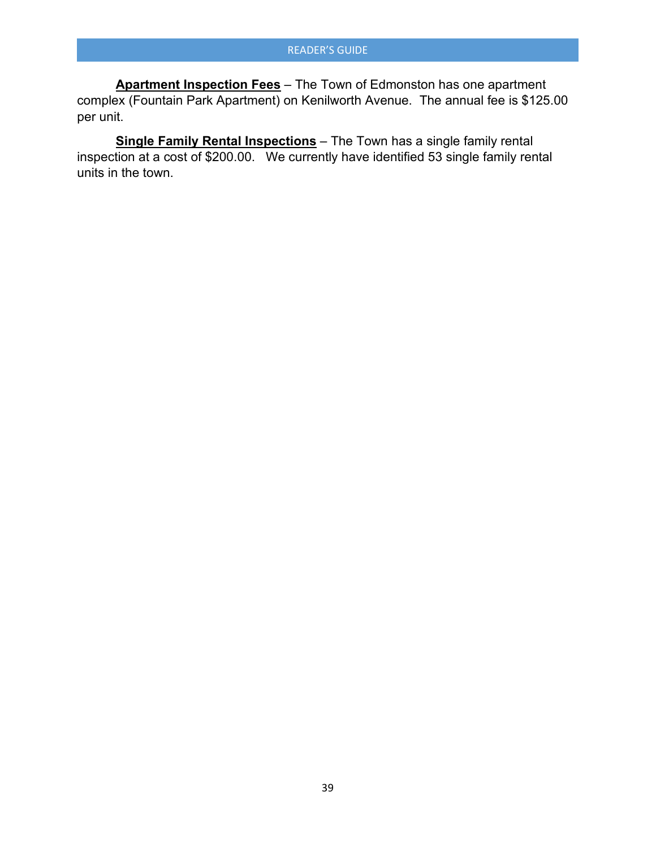**Apartment Inspection Fees** – The Town of Edmonston has one apartment complex (Fountain Park Apartment) on Kenilworth Avenue. The annual fee is \$125.00 per unit.

**Single Family Rental Inspections** – The Town has a single family rental inspection at a cost of \$200.00. We currently have identified 53 single family rental units in the town.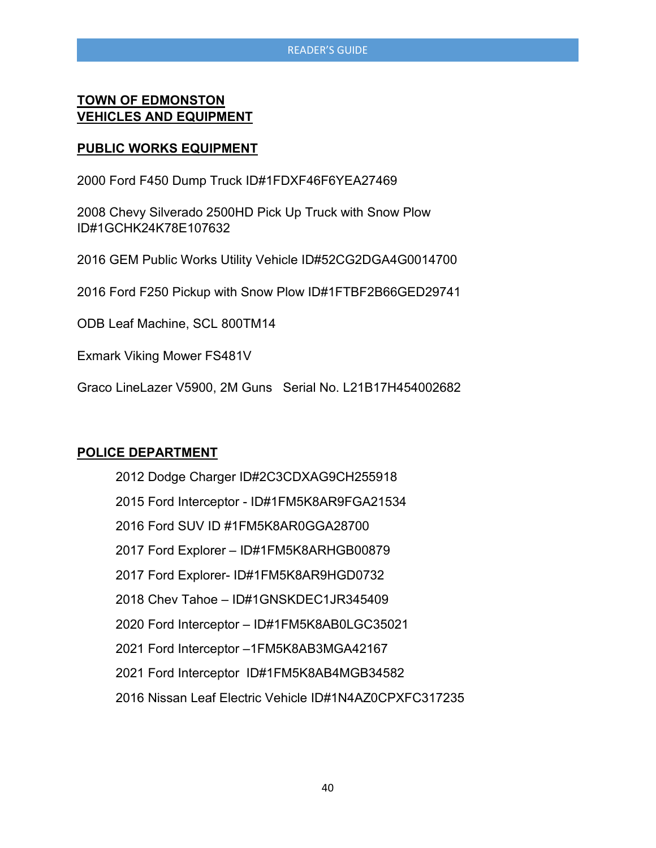#### **TOWN OF EDMONSTON VEHICLES AND EQUIPMENT**

#### **PUBLIC WORKS EQUIPMENT**

2000 Ford F450 Dump Truck ID#1FDXF46F6YEA27469

2008 Chevy Silverado 2500HD Pick Up Truck with Snow Plow ID#1GCHK24K78E107632

2016 GEM Public Works Utility Vehicle ID#52CG2DGA4G0014700

2016 Ford F250 Pickup with Snow Plow ID#1FTBF2B66GED29741

ODB Leaf Machine, SCL 800TM14

Exmark Viking Mower FS481V

Graco LineLazer V5900, 2M Guns Serial No. L21B17H454002682

#### **POLICE DEPARTMENT**

| 2012 Dodge Charger ID#2C3CDXAG9CH255918                |
|--------------------------------------------------------|
| 2015 Ford Interceptor - ID#1FM5K8AR9FGA21534           |
| 2016 Ford SUV ID #1FM5K8AR0GGA28700                    |
| 2017 Ford Explorer - ID#1FM5K8ARHGB00879               |
| 2017 Ford Explorer- ID#1FM5K8AR9HGD0732                |
| 2018 Chev Tahoe - ID#1GNSKDEC1JR345409                 |
| 2020 Ford Interceptor - ID#1FM5K8AB0LGC35021           |
| 2021 Ford Interceptor -1FM5K8AB3MGA42167               |
| 2021 Ford Interceptor ID#1FM5K8AB4MGB34582             |
| 2016 Nissan Leaf Electric Vehicle ID#1N4AZ0CPXFC317235 |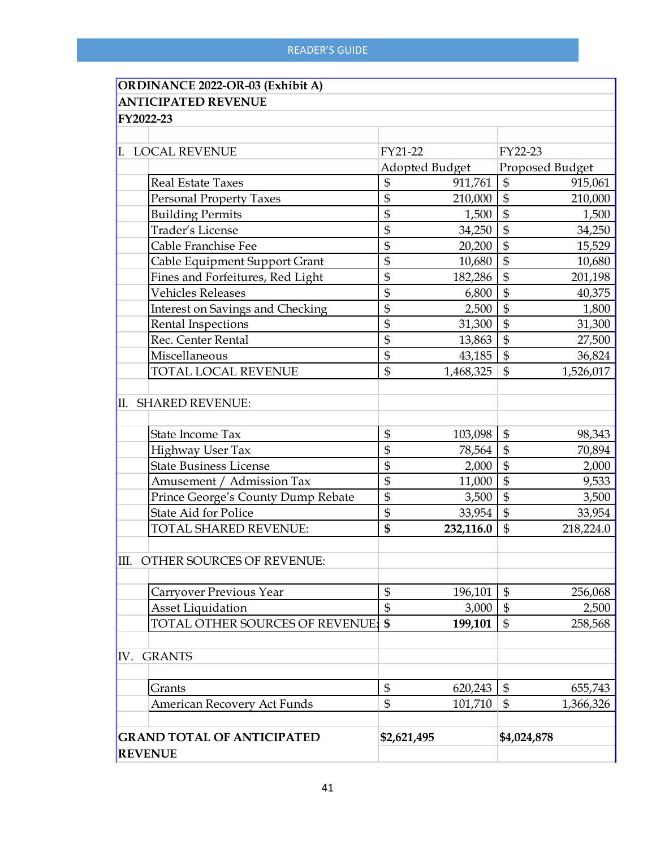| <b>ORDINANCE 2022-OR-03 (Exhibit A)</b> |                              |                                      |
|-----------------------------------------|------------------------------|--------------------------------------|
| <b>ANTICIPATED REVENUE</b>              |                              |                                      |
| FY2022-23                               |                              |                                      |
|                                         |                              |                                      |
| <b>LOCAL REVENUE</b>                    | FY21-22                      | FY22-23                              |
|                                         | Adopted Budget               | Proposed Budget                      |
| <b>Real Estate Taxes</b>                | $\mathfrak{S}$<br>911,761    | \$<br>915,061                        |
| <b>Personal Property Taxes</b>          | \$<br>210,000                | $\frac{1}{2}$<br>210,000             |
| <b>Building Permits</b>                 | \$<br>1,500                  | \$<br>1,500                          |
| Trader's License                        | \$<br>34,250                 | $\frac{1}{2}$<br>34,250              |
| Cable Franchise Fee                     | \$<br>20,200                 | $\mathfrak{S}$<br>15,529             |
| Cable Equipment Support Grant           | \$<br>10,680                 | \$<br>10,680                         |
| Fines and Forfeitures, Red Light        | \$<br>182,286                | $\frac{1}{2}$<br>201,198             |
| <b>Vehicles Releases</b>                | \$<br>6,800                  | \$<br>40,375                         |
| Interest on Savings and Checking        | \$<br>2,500                  | \$<br>1,800                          |
| Rental Inspections                      | \$<br>31,300                 | $\mathfrak{S}$<br>31,300             |
| Rec. Center Rental                      | \$<br>13,863                 | $\frac{1}{2}$<br>27,500              |
| Miscellaneous                           | \$<br>43,185                 | $\frac{1}{2}$<br>36,824              |
| TOTAL LOCAL REVENUE                     | $\mathfrak{S}$<br>1,468,325  | $\mathfrak{S}$<br>1,526,017          |
| II. SHARED REVENUE:                     |                              |                                      |
| State Income Tax                        | \$<br>103,098                | \$<br>98,343                         |
| Highway User Tax                        | \$<br>78,564                 | $\boldsymbol{\mathsf{\$}}$<br>70,894 |
| <b>State Business License</b>           | \$<br>2,000                  | $\mathfrak{S}$<br>2,000              |
| Amusement / Admission Tax               | \$<br>11,000                 | $\overline{\$}$<br>9,533             |
| Prince George's County Dump Rebate      | \$<br>3,500                  | $\overline{\$}$<br>3,500             |
| State Aid for Police                    | \$<br>33,954                 | $\mathfrak{S}$<br>33,954             |
| <b>TOTAL SHARED REVENUE:</b>            | \$<br>232,116.0              | $\mathfrak{S}$<br>218,224.0          |
| III. OTHER SOURCES OF REVENUE:          |                              |                                      |
| Carryover Previous Year                 | \$<br>196,101                | $\boldsymbol{\$}$<br>256,068         |
| <b>Asset Liquidation</b>                | \$<br>3,000                  | $\mathfrak{S}$<br>2,500              |
| TOTAL OTHER SOURCES OF REVENUE:         | \$<br>199,101                | \$<br>258,568                        |
| <b>GRANTS</b><br>IV.                    |                              |                                      |
| Grants                                  | $\boldsymbol{\$}$<br>620,243 | \$<br>655,743                        |
| American Recovery Act Funds             | \$<br>101,710                | \$<br>1,366,326                      |
| <b>GRAND TOTAL OF ANTICIPATED</b>       | \$2,621,495                  | \$4,024,878                          |
| <b>REVENUE</b>                          |                              |                                      |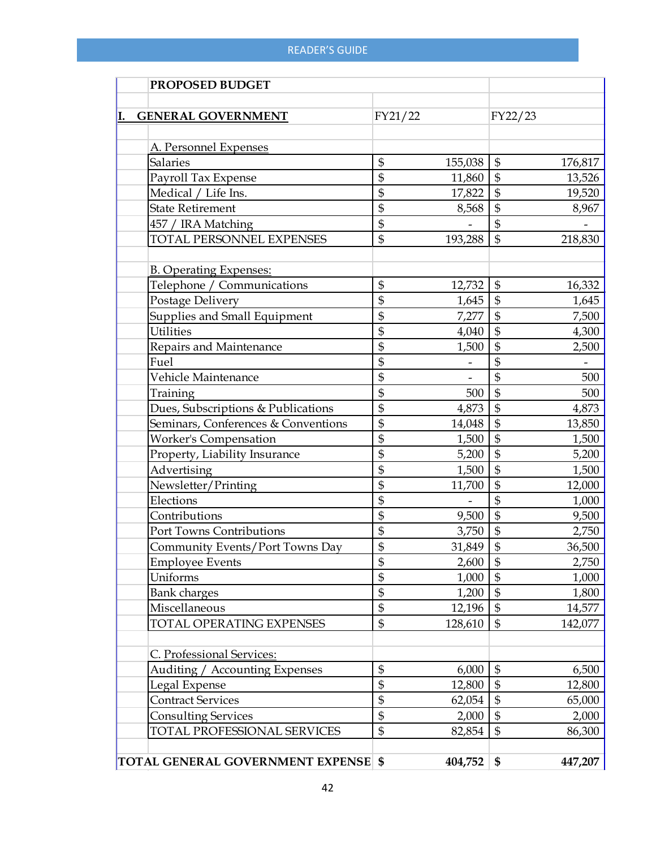| PROPOSED BUDGET                     |                   |         |                            |         |
|-------------------------------------|-------------------|---------|----------------------------|---------|
| <b>GENERAL GOVERNMENT</b>           | FY21/22           |         | FY22/23                    |         |
|                                     |                   |         |                            |         |
| A. Personnel Expenses               |                   |         |                            |         |
| <b>Salaries</b>                     | $\mathfrak{S}$    | 155,038 | $\mathfrak{S}$             | 176,817 |
| Payroll Tax Expense                 | \$                | 11,860  | $\mathfrak{S}$             | 13,526  |
| Medical / Life Ins.                 | $\frac{1}{2}$     | 17,822  | $\boldsymbol{\$}$          | 19,520  |
| <b>State Retirement</b>             | $\frac{1}{2}$     | 8,568   | $\boldsymbol{\$}$          | 8,967   |
| 457 / IRA Matching                  | $\$\$             |         | $\mathfrak{S}$             |         |
| TOTAL PERSONNEL EXPENSES            | $\overline{\$}$   | 193,288 | $\overline{\mathbb{S}}$    | 218,830 |
| <b>B. Operating Expenses:</b>       |                   |         |                            |         |
| Telephone / Communications          | $\mathfrak{S}$    | 12,732  | $\mathfrak{S}$             | 16,332  |
| Postage Delivery                    | \$                | 1,645   | $\boldsymbol{\$}$          | 1,645   |
| Supplies and Small Equipment        | \$                | 7,277   | $\overline{\mathfrak{s}}$  | 7,500   |
| <b>Utilities</b>                    | $\boldsymbol{\$}$ | 4,040   | $\frac{1}{2}$              | 4,300   |
| Repairs and Maintenance             | $\frac{1}{2}$     | 1,500   | $\overline{\$}$            | 2,500   |
| Fuel                                | $\boldsymbol{\$}$ |         | $\mathfrak s$              |         |
| Vehicle Maintenance                 | $\boldsymbol{\$}$ |         | $\frac{1}{2}$              | 500     |
| Training                            | \$                | 500     | $\frac{1}{2}$              | 500     |
| Dues, Subscriptions & Publications  | $\boldsymbol{\$}$ | 4,873   | $\mathfrak{S}$             | 4,873   |
| Seminars, Conferences & Conventions | \$                | 14,048  | $\overline{\$}$            | 13,850  |
| <b>Worker's Compensation</b>        | $\mathfrak{S}$    | 1,500   | $\mathbb{S}$               | 1,500   |
| Property, Liability Insurance       | \$                | 5,200   | $\overline{\$}$            | 5,200   |
| Advertising                         | \$                | 1,500   | $\overline{\$}$            | 1,500   |
| Newsletter/Printing                 | \$                | 11,700  | $\frac{1}{2}$              | 12,000  |
| Elections                           | $\boldsymbol{\$}$ |         | $\$\$                      | 1,000   |
| Contributions                       | $\frac{1}{2}$     | 9,500   | $\boldsymbol{\mathsf{\$}}$ | 9,500   |
| Port Towns Contributions            | \$                | 3,750   | $\frac{1}{2}$              | 2,750   |
| Community Events/Port Towns Day     | \$                | 31,849  | $\boldsymbol{\mathsf{S}}$  | 36,500  |
| <b>Employee Events</b>              | \$                | 2,600   | \$                         | 2,750   |
| Uniforms                            | $\mathfrak{S}$    | 1,000   | $\mathfrak{S}$             | 1,000   |
| <b>Bank charges</b>                 | $\frac{1}{2}$     | 1,200   | $\mathfrak{S}$             | 1,800   |
| Miscellaneous                       | $\mathfrak{S}$    | 12,196  | $\mathfrak{S}$             | 14,577  |
| <b>TOTAL OPERATING EXPENSES</b>     | $\$\$             | 128,610 | $\mathfrak{S}$             | 142,077 |
|                                     |                   |         |                            |         |
| C. Professional Services:           |                   |         |                            |         |
| Auditing / Accounting Expenses      | $\mathfrak{S}$    | 6,000   | $\boldsymbol{\mathsf{\$}}$ | 6,500   |
| Legal Expense                       | $\boldsymbol{\$}$ | 12,800  | $\mathfrak{S}$             | 12,800  |
| <b>Contract Services</b>            | $\frac{1}{2}$     | 62,054  | $\mathfrak{S}$             | 65,000  |
| <b>Consulting Services</b>          | \$                | 2,000   | $\mathfrak{S}$             | 2,000   |
| TOTAL PROFESSIONAL SERVICES         | $\mathfrak{S}$    | 82,854  | $\mathfrak{S}$             | 86,300  |
| TOTAL GENERAL GOVERNMENT EXPENSE \$ |                   | 404,752 | \$                         | 447,207 |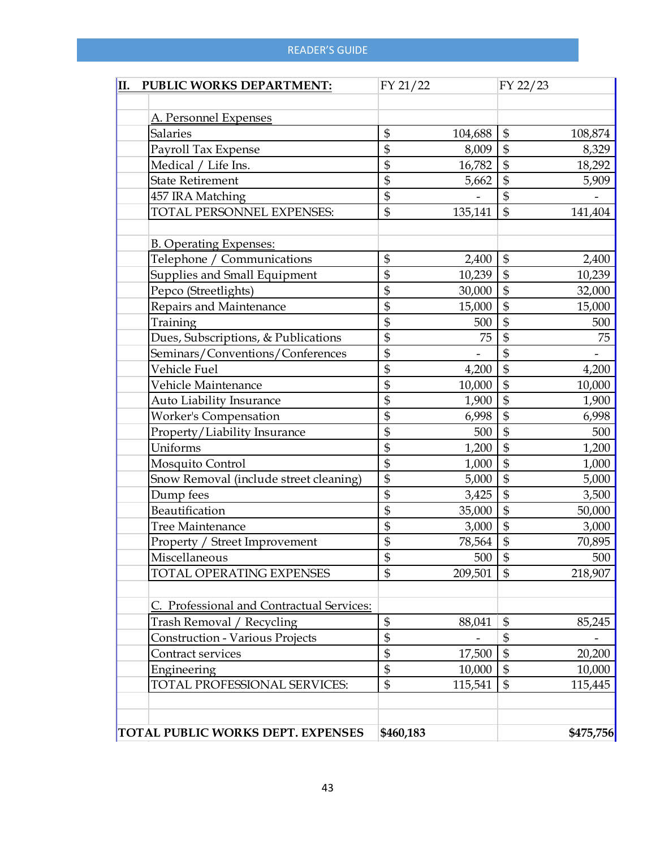| PUBLIC WORKS DEPARTMENT:                  | FY 21/22        |          | FY 22/23                  |
|-------------------------------------------|-----------------|----------|---------------------------|
|                                           |                 |          |                           |
| A. Personnel Expenses                     |                 |          |                           |
| <b>Salaries</b>                           | \$              | 104,688  | \$<br>108,874             |
| Payroll Tax Expense                       | \$              | 8,009    | $\mathfrak{S}$<br>8,329   |
| Medical / Life Ins.                       | \$              | 16,782   | $\mathfrak{S}$<br>18,292  |
| <b>State Retirement</b>                   | \$              | 5,662    | $\mathfrak{S}$<br>5,909   |
| 457 IRA Matching                          | \$              |          | $\mathfrak{S}$            |
| TOTAL PERSONNEL EXPENSES:                 | \$              | 135,141  | $\mathfrak{S}$<br>141,404 |
|                                           |                 |          |                           |
| <b>B. Operating Expenses:</b>             |                 |          |                           |
| Telephone / Communications                | \$              | 2,400    | \$<br>2,400               |
| Supplies and Small Equipment              | \$              | 10,239   | $\mathfrak{S}$<br>10,239  |
| Pepco (Streetlights)                      | \$              | 30,000   | $\mathfrak{S}$<br>32,000  |
| Repairs and Maintenance                   | \$              | 15,000   | $\mathfrak{S}$<br>15,000  |
| Training                                  | \$              | 500      | $\boldsymbol{\$}$<br>500  |
| Dues, Subscriptions, & Publications       | \$              | 75       | $\mathfrak{S}$<br>75      |
| Seminars/Conventions/Conferences          | \$              |          | $\mathfrak{S}$            |
| Vehicle Fuel                              | \$              | 4,200    | $\mathfrak{S}$<br>4,200   |
| Vehicle Maintenance                       | \$              | 10,000   | $\mathfrak{S}$<br>10,000  |
| <b>Auto Liability Insurance</b>           | \$              | 1,900    | $\mathfrak{S}$<br>1,900   |
| <b>Worker's Compensation</b>              | \$              | 6,998    | $\mathfrak{S}$<br>6,998   |
| Property/Liability Insurance              | \$              | 500      | $\mathfrak{S}$<br>500     |
| Uniforms                                  | \$              | 1,200    | $\mathfrak{S}$<br>1,200   |
| Mosquito Control                          | \$              | 1,000    | $\frac{1}{2}$<br>1,000    |
| Snow Removal (include street cleaning)    | \$              | 5,000    | $\mathfrak{S}$<br>5,000   |
| Dump fees                                 | \$              | 3,425    | $\mathfrak{S}$<br>3,500   |
| Beautification                            | \$              | 35,000   | $\mathfrak{S}$<br>50,000  |
| Tree Maintenance                          | \$              | 3,000    | $\mathfrak{S}$<br>3,000   |
| Property / Street Improvement             | \$              | 78,564   | $\mathfrak{S}$<br>70,895  |
| Miscellaneous                             | $\overline{\$}$ | $500$ \$ | 500                       |
| <b>TOTAL OPERATING EXPENSES</b>           | \$              | 209,501  | $\mathfrak{S}$<br>218,907 |
|                                           |                 |          |                           |
| C. Professional and Contractual Services: |                 |          |                           |
| Trash Removal / Recycling                 | \$              | 88,041   | \$<br>85,245              |
| Construction - Various Projects           | \$              |          | \$                        |
| Contract services                         | \$              | 17,500   | $\mathfrak{S}$<br>20,200  |
| Engineering                               | \$              | 10,000   | $\mathfrak{S}$<br>10,000  |
| TOTAL PROFESSIONAL SERVICES:              | \$              | 115,541  | \$<br>115,445             |
|                                           |                 |          |                           |
| TOTAL PUBLIC WORKS DEPT. EXPENSES         | \$460,183       |          | \$475,756                 |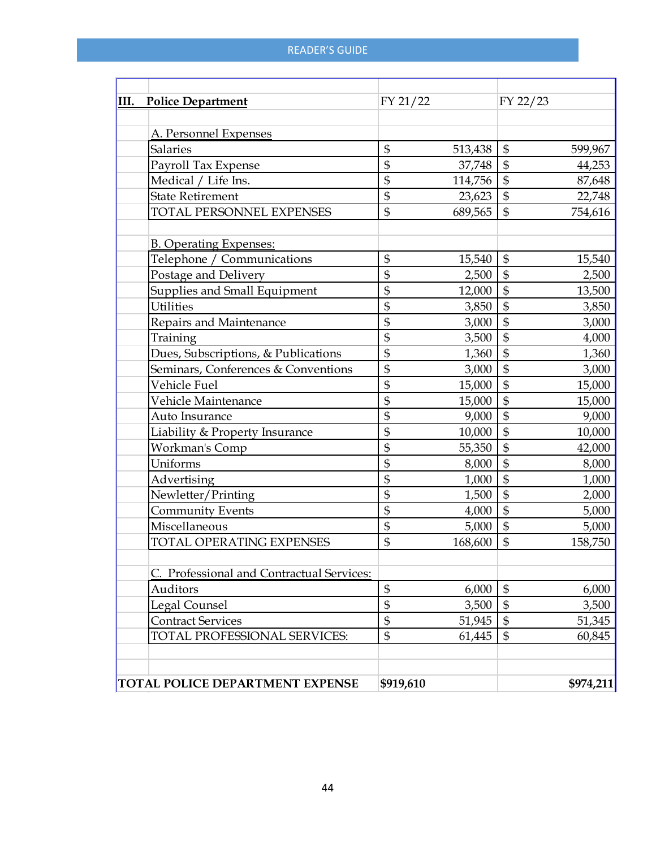| <b>III.</b> Police Department             | FY 21/22      |         | FY 22/23                   |           |
|-------------------------------------------|---------------|---------|----------------------------|-----------|
| A. Personnel Expenses                     |               |         |                            |           |
| <b>Salaries</b>                           | \$            | 513,438 | $\frac{1}{2}$              | 599,967   |
| Payroll Tax Expense                       | \$            | 37,748  | $\boldsymbol{\mathsf{\$}}$ | 44,253    |
| Medical / Life Ins.                       | \$            | 114,756 | $\mathfrak{S}$             | 87,648    |
| <b>State Retirement</b>                   | \$            | 23,623  | $\boldsymbol{\mathsf{\$}}$ | 22,748    |
| TOTAL PERSONNEL EXPENSES                  | \$            | 689,565 | $\mathfrak{S}$             | 754,616   |
| <b>B. Operating Expenses:</b>             |               |         |                            |           |
| Telephone / Communications                | \$            | 15,540  | $\mathfrak{S}$             | 15,540    |
| Postage and Delivery                      | $\frac{1}{2}$ | 2,500   | $\boldsymbol{\mathsf{\$}}$ | 2,500     |
| Supplies and Small Equipment              | \$            | 12,000  | \$                         | 13,500    |
| <b>Utilities</b>                          | \$            | 3,850   | \$                         | 3,850     |
| Repairs and Maintenance                   | \$            | 3,000   | $\mathfrak{S}$             | 3,000     |
| Training                                  | \$            | 3,500   | $\frac{1}{2}$              | 4,000     |
| Dues, Subscriptions, & Publications       | \$            | 1,360   | $\frac{1}{2}$              | 1,360     |
| Seminars, Conferences & Conventions       | \$            | 3,000   | $\frac{1}{2}$              | 3,000     |
| Vehicle Fuel                              | \$            | 15,000  | \$                         | 15,000    |
| Vehicle Maintenance                       | \$            | 15,000  | $\frac{1}{2}$              | 15,000    |
| Auto Insurance                            | \$            | 9,000   | $\frac{1}{2}$              | 9,000     |
| Liability & Property Insurance            | \$            | 10,000  | \$                         | 10,000    |
| Workman's Comp                            | \$            | 55,350  | $\boldsymbol{\mathsf{\$}}$ | 42,000    |
| Uniforms                                  | \$            | 8,000   | \$                         | 8,000     |
| Advertising                               | \$            | 1,000   | $\frac{1}{2}$              | 1,000     |
| Newletter/Printing                        | \$            | 1,500   | $\frac{1}{2}$              | 2,000     |
| <b>Community Events</b>                   | \$            | 4,000   | $\frac{1}{2}$              | 5,000     |
| Miscellaneous                             | \$            | 5,000   | $\mathfrak{S}$             | 5,000     |
| <b>TOTAL OPERATING EXPENSES</b>           | \$            | 168,600 | \$                         | 158,750   |
| C. Professional and Contractual Services: |               |         |                            |           |
| Auditors                                  | \$            | 6,000   | $\boldsymbol{\mathsf{\$}}$ | 6,000     |
| Legal Counsel                             | \$            | 3,500   | $\boldsymbol{\$}$          | 3,500     |
| <b>Contract Services</b>                  | \$            | 51,945  | \$                         | 51,345    |
| TOTAL PROFESSIONAL SERVICES:              | \$            | 61,445  | \$                         | 60,845    |
| TOTAL POLICE DEPARTMENT EXPENSE           | \$919,610     |         |                            | \$974,211 |